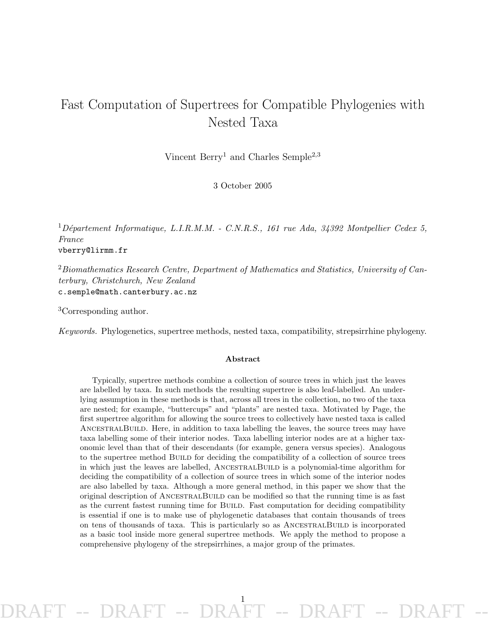# Fast Computation of Supertrees for Compatible Phylogenies with Nested Taxa

Vincent Berry<sup>1</sup> and Charles Semple<sup>2,3</sup>

3 October 2005

 $1Département Informatique, L.I.R.M.M. - C.N.R.S., 161 rue Ada, 34392 Montpellier Ceder 5,$ France vberry@lirmm.fr

<sup>2</sup> Biomathematics Research Centre, Department of Mathematics and Statistics, University of Canterbury, Christchurch, New Zealand c.semple@math.canterbury.ac.nz

<sup>3</sup>Corresponding author.

Keywords. Phylogenetics, supertree methods, nested taxa, compatibility, strepsirrhine phylogeny.

#### Abstract

Typically, supertree methods combine a collection of source trees in which just the leaves are labelled by taxa. In such methods the resulting supertree is also leaf-labelled. An underlying assumption in these methods is that, across all trees in the collection, no two of the taxa are nested; for example, "buttercups" and "plants" are nested taxa. Motivated by Page, the first supertree algorithm for allowing the source trees to collectively have nested taxa is called ANCESTRALBUILD. Here, in addition to taxa labelling the leaves, the source trees may have taxa labelling some of their interior nodes. Taxa labelling interior nodes are at a higher taxonomic level than that of their descendants (for example, genera versus species). Analogous to the supertree method BUILD for deciding the compatibility of a collection of source trees in which just the leaves are labelled, ANCESTRALBUILD is a polynomial-time algorithm for deciding the compatibility of a collection of source trees in which some of the interior nodes are also labelled by taxa. Although a more general method, in this paper we show that the original description of AncestralBuild can be modified so that the running time is as fast as the current fastest running time for BUILD. Fast computation for deciding compatibility is essential if one is to make use of phylogenetic databases that contain thousands of trees on tens of thousands of taxa. This is particularly so as ANCESTRALBUILD is incorporated as a basic tool inside more general supertree methods. We apply the method to propose a comprehensive phylogeny of the strepsirrhines, a major group of the primates.

1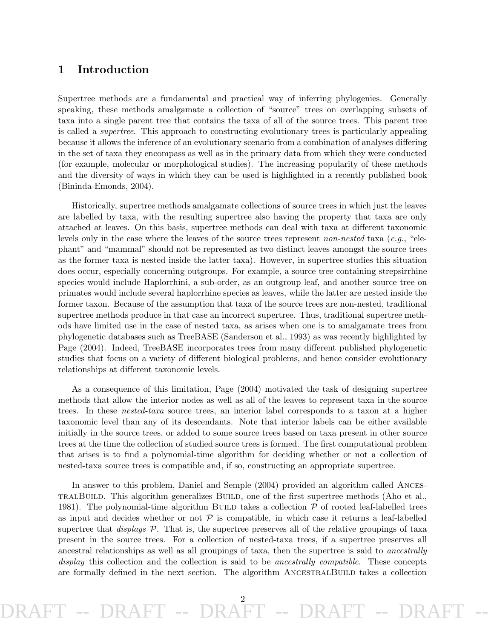## 1 Introduction

Supertree methods are a fundamental and practical way of inferring phylogenies. Generally speaking, these methods amalgamate a collection of "source" trees on overlapping subsets of taxa into a single parent tree that contains the taxa of all of the source trees. This parent tree is called a supertree. This approach to constructing evolutionary trees is particularly appealing because it allows the inference of an evolutionary scenario from a combination of analyses differing in the set of taxa they encompass as well as in the primary data from which they were conducted (for example, molecular or morphological studies). The increasing popularity of these methods and the diversity of ways in which they can be used is highlighted in a recently published book (Bininda-Emonds, 2004).

Historically, supertree methods amalgamate collections of source trees in which just the leaves are labelled by taxa, with the resulting supertree also having the property that taxa are only attached at leaves. On this basis, supertree methods can deal with taxa at different taxonomic levels only in the case where the leaves of the source trees represent non-nested taxa (e.g., "elephant" and "mammal" should not be represented as two distinct leaves amongst the source trees as the former taxa is nested inside the latter taxa). However, in supertree studies this situation does occur, especially concerning outgroups. For example, a source tree containing strepsirrhine species would include Haplorrhini, a sub-order, as an outgroup leaf, and another source tree on primates would include several haplorrhine species as leaves, while the latter are nested inside the former taxon. Because of the assumption that taxa of the source trees are non-nested, traditional supertree methods produce in that case an incorrect supertree. Thus, traditional supertree methods have limited use in the case of nested taxa, as arises when one is to amalgamate trees from phylogenetic databases such as TreeBASE (Sanderson et al., 1993) as was recently highlighted by Page (2004). Indeed, TreeBASE incorporates trees from many different published phylogenetic studies that focus on a variety of different biological problems, and hence consider evolutionary relationships at different taxonomic levels.

As a consequence of this limitation, Page (2004) motivated the task of designing supertree methods that allow the interior nodes as well as all of the leaves to represent taxa in the source trees. In these nested-taxa source trees, an interior label corresponds to a taxon at a higher taxonomic level than any of its descendants. Note that interior labels can be either available initially in the source trees, or added to some source trees based on taxa present in other source trees at the time the collection of studied source trees is formed. The first computational problem that arises is to find a polynomial-time algorithm for deciding whether or not a collection of nested-taxa source trees is compatible and, if so, constructing an appropriate supertree.

In answer to this problem, Daniel and Semple (2004) provided an algorithm called AncestralBuild. This algorithm generalizes Build, one of the first supertree methods (Aho et al., 1981). The polynomial-time algorithm BUILD takes a collection  $P$  of rooted leaf-labelled trees as input and decides whether or not  $P$  is compatible, in which case it returns a leaf-labelled supertree that *displays*  $\mathcal{P}$ . That is, the supertree preserves all of the relative groupings of taxa present in the source trees. For a collection of nested-taxa trees, if a supertree preserves all ancestral relationships as well as all groupings of taxa, then the supertree is said to ancestrally display this collection and the collection is said to be *ancestrally compatible*. These concepts are formally defined in the next section. The algorithm ANCESTRALBUILD takes a collection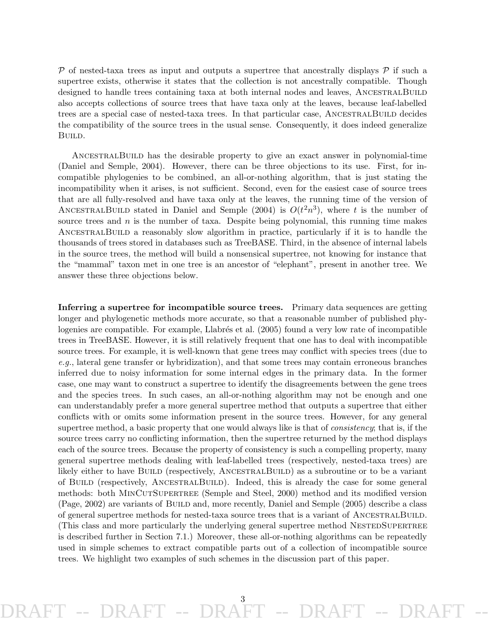$P$  of nested-taxa trees as input and outputs a supertree that ancestrally displays  $P$  if such a supertree exists, otherwise it states that the collection is not ancestrally compatible. Though designed to handle trees containing taxa at both internal nodes and leaves, ANCESTRALBUILD also accepts collections of source trees that have taxa only at the leaves, because leaf-labelled trees are a special case of nested-taxa trees. In that particular case, ANCESTRALBUILD decides the compatibility of the source trees in the usual sense. Consequently, it does indeed generalize Build.

AncestralBuild has the desirable property to give an exact answer in polynomial-time (Daniel and Semple, 2004). However, there can be three objections to its use. First, for incompatible phylogenies to be combined, an all-or-nothing algorithm, that is just stating the incompatibility when it arises, is not sufficient. Second, even for the easiest case of source trees that are all fully-resolved and have taxa only at the leaves, the running time of the version of ANCESTRALBUILD stated in Daniel and Semple (2004) is  $O(t^2n^3)$ , where t is the number of source trees and  $n$  is the number of taxa. Despite being polynomial, this running time makes ANCESTRALBUILD a reasonably slow algorithm in practice, particularly if it is to handle the thousands of trees stored in databases such as TreeBASE. Third, in the absence of internal labels in the source trees, the method will build a nonsensical supertree, not knowing for instance that the "mammal" taxon met in one tree is an ancestor of "elephant", present in another tree. We answer these three objections below.

Inferring a supertree for incompatible source trees. Primary data sequences are getting longer and phylogenetic methods more accurate, so that a reasonable number of published phylogenies are compatible. For example, Llabrés et al. (2005) found a very low rate of incompatible trees in TreeBASE. However, it is still relatively frequent that one has to deal with incompatible source trees. For example, it is well-known that gene trees may conflict with species trees (due to e.g., lateral gene transfer or hybridization), and that some trees may contain erroneous branches inferred due to noisy information for some internal edges in the primary data. In the former case, one may want to construct a supertree to identify the disagreements between the gene trees and the species trees. In such cases, an all-or-nothing algorithm may not be enough and one can understandably prefer a more general supertree method that outputs a supertree that either conflicts with or omits some information present in the source trees. However, for any general supertree method, a basic property that one would always like is that of *consistency*; that is, if the source trees carry no conflicting information, then the supertree returned by the method displays each of the source trees. Because the property of consistency is such a compelling property, many general supertree methods dealing with leaf-labelled trees (respectively, nested-taxa trees) are likely either to have BUILD (respectively, ANCESTRALBUILD) as a subroutine or to be a variant of Build (respectively, AncestralBuild). Indeed, this is already the case for some general methods: both MINCUTSUPERTREE (Semple and Steel, 2000) method and its modified version (Page, 2002) are variants of Build and, more recently, Daniel and Semple (2005) describe a class of general supertree methods for nested-taxa source trees that is a variant of ANCESTRALBUILD. (This class and more particularly the underlying general supertree method NESTEDSUPERTREE is described further in Section 7.1.) Moreover, these all-or-nothing algorithms can be repeatedly used in simple schemes to extract compatible parts out of a collection of incompatible source trees. We highlight two examples of such schemes in the discussion part of this paper.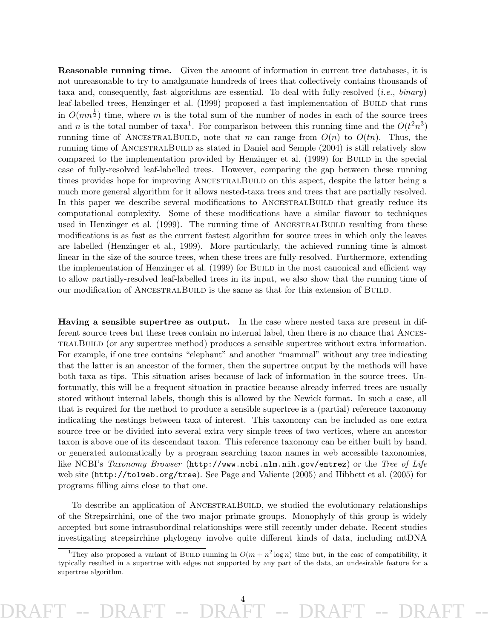Reasonable running time. Given the amount of information in current tree databases, it is not unreasonable to try to amalgamate hundreds of trees that collectively contains thousands of taxa and, consequently, fast algorithms are essential. To deal with fully-resolved (*i.e.*, binary) leaf-labelled trees, Henzinger et al. (1999) proposed a fast implementation of BUILD that runs in  $O(mn^{\frac{1}{2}})$  time, where m is the total sum of the number of nodes in each of the source trees and *n* is the total number of taxa<sup>1</sup>. For comparison between this running time and the  $O(t^2 n^3)$ running time of ANCESTRALBUILD, note that m can range from  $O(n)$  to  $O(tn)$ . Thus, the running time of ANCESTRALBUILD as stated in Daniel and Semple (2004) is still relatively slow compared to the implementation provided by Henzinger et al. (1999) for BUILD in the special case of fully-resolved leaf-labelled trees. However, comparing the gap between these running times provides hope for improving ANCESTRALBUILD on this aspect, despite the latter being a much more general algorithm for it allows nested-taxa trees and trees that are partially resolved. In this paper we describe several modifications to ANCESTRALBUILD that greatly reduce its computational complexity. Some of these modifications have a similar flavour to techniques used in Henzinger et al. (1999). The running time of ANCESTRALBUILD resulting from these modifications is as fast as the current fastest algorithm for source trees in which only the leaves are labelled (Henzinger et al., 1999). More particularly, the achieved running time is almost linear in the size of the source trees, when these trees are fully-resolved. Furthermore, extending the implementation of Henzinger et al. (1999) for BUILD in the most canonical and efficient way to allow partially-resolved leaf-labelled trees in its input, we also show that the running time of our modification of ANCESTRALBUILD is the same as that for this extension of BUILD.

Having a sensible supertree as output. In the case where nested taxa are present in different source trees but these trees contain no internal label, then there is no chance that AncestralBuild (or any supertree method) produces a sensible supertree without extra information. For example, if one tree contains "elephant" and another "mammal" without any tree indicating that the latter is an ancestor of the former, then the supertree output by the methods will have both taxa as tips. This situation arises because of lack of information in the source trees. Unfortunatly, this will be a frequent situation in practice because already inferred trees are usually stored without internal labels, though this is allowed by the Newick format. In such a case, all that is required for the method to produce a sensible supertree is a (partial) reference taxonomy indicating the nestings between taxa of interest. This taxonomy can be included as one extra source tree or be divided into several extra very simple trees of two vertices, where an ancestor taxon is above one of its descendant taxon. This reference taxonomy can be either built by hand, or generated automatically by a program searching taxon names in web accessible taxonomies, like NCBI's Taxonomy Browser (http://www.ncbi.nlm.nih.gov/entrez) or the Tree of Life web site (http://tolweb.org/tree). See Page and Valiente (2005) and Hibbett et al. (2005) for programs filling aims close to that one.

To describe an application of ANCESTRALBUILD, we studied the evolutionary relationships of the Strepsirrhini, one of the two major primate groups. Monophyly of this group is widely accepted but some intrasubordinal relationships were still recently under debate. Recent studies investigating strepsirrhine phylogeny involve quite different kinds of data, including mtDNA

<sup>&</sup>lt;sup>1</sup>They also proposed a variant of BUILD running in  $O(m + n^2 \log n)$  time but, in the case of compatibility, it typically resulted in a supertree with edges not supported by any part of the data, an undesirable feature for a supertree algorithm.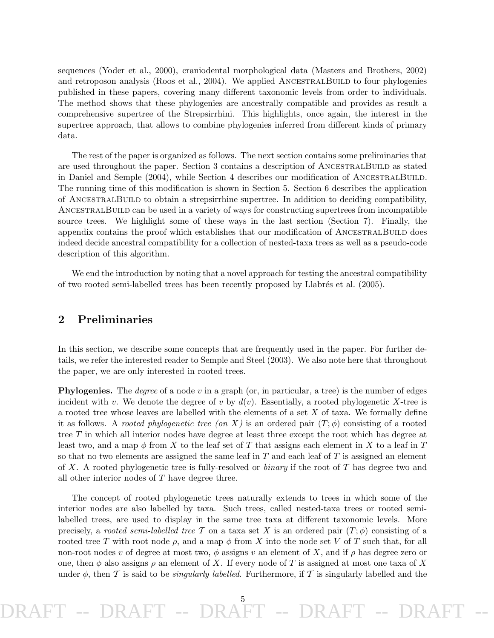sequences (Yoder et al., 2000), craniodental morphological data (Masters and Brothers, 2002) and retroposon analysis (Roos et al., 2004). We applied ANCESTRALBUILD to four phylogenies published in these papers, covering many different taxonomic levels from order to individuals. The method shows that these phylogenies are ancestrally compatible and provides as result a comprehensive supertree of the Strepsirrhini. This highlights, once again, the interest in the supertree approach, that allows to combine phylogenies inferred from different kinds of primary data.

The rest of the paper is organized as follows. The next section contains some preliminaries that are used throughout the paper. Section 3 contains a description of ANCESTRALBUILD as stated in Daniel and Semple (2004), while Section 4 describes our modification of ANCESTRALBUILD. The running time of this modification is shown in Section 5. Section 6 describes the application of AncestralBuild to obtain a strepsirrhine supertree. In addition to deciding compatibility, ANCESTRALBUILD can be used in a variety of ways for constructing supertrees from incompatible source trees. We highlight some of these ways in the last section (Section 7). Finally, the appendix contains the proof which establishes that our modification of ANCESTRALBUILD does indeed decide ancestral compatibility for a collection of nested-taxa trees as well as a pseudo-code description of this algorithm.

We end the introduction by noting that a novel approach for testing the ancestral compatibility of two rooted semi-labelled trees has been recently proposed by Llabrés et al.  $(2005)$ .

## 2 Preliminaries

In this section, we describe some concepts that are frequently used in the paper. For further details, we refer the interested reader to Semple and Steel (2003). We also note here that throughout the paper, we are only interested in rooted trees.

**Phylogenies.** The *degree* of a node v in a graph (or, in particular, a tree) is the number of edges incident with v. We denote the degree of v by  $d(v)$ . Essentially, a rooted phylogenetic X-tree is a rooted tree whose leaves are labelled with the elements of a set  $X$  of taxa. We formally define it as follows. A rooted phylogenetic tree (on X) is an ordered pair  $(T; \phi)$  consisting of a rooted tree T in which all interior nodes have degree at least three except the root which has degree at least two, and a map  $\phi$  from X to the leaf set of T that assigns each element in X to a leaf in T so that no two elements are assigned the same leaf in  $T$  and each leaf of  $T$  is assigned an element of X. A rooted phylogenetic tree is fully-resolved or *binary* if the root of T has degree two and all other interior nodes of T have degree three.

The concept of rooted phylogenetic trees naturally extends to trees in which some of the interior nodes are also labelled by taxa. Such trees, called nested-taxa trees or rooted semilabelled trees, are used to display in the same tree taxa at different taxonomic levels. More precisely, a rooted semi-labelled tree T on a taxa set X is an ordered pair  $(T; \phi)$  consisting of a rooted tree T with root node  $\rho$ , and a map  $\phi$  from X into the node set V of T such that, for all non-root nodes v of degree at most two,  $\phi$  assigns v an element of X, and if  $\rho$  has degree zero or one, then  $\phi$  also assigns  $\rho$  an element of X. If every node of T is assigned at most one taxa of X under  $\phi$ , then T is said to be *singularly labelled*. Furthermore, if T is singularly labelled and the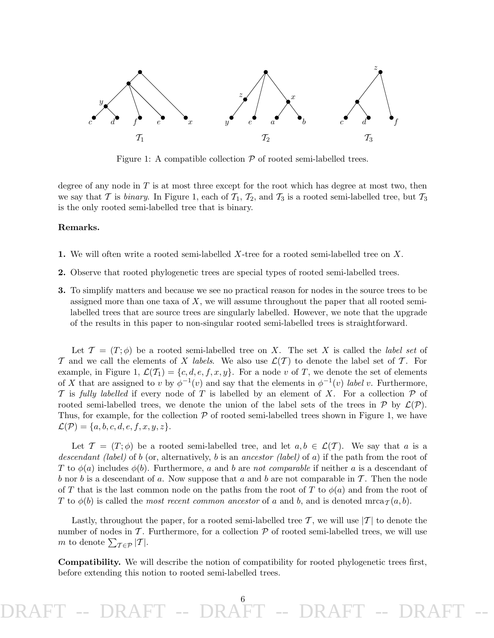

Figure 1: A compatible collection  $P$  of rooted semi-labelled trees.

degree of any node in  $T$  is at most three except for the root which has degree at most two, then we say that T is *binary*. In Figure 1, each of  $\mathcal{T}_1$ ,  $\mathcal{T}_2$ , and  $\mathcal{T}_3$  is a rooted semi-labelled tree, but  $\mathcal{T}_3$ is the only rooted semi-labelled tree that is binary.

### Remarks.

- 1. We will often write a rooted semi-labelled X-tree for a rooted semi-labelled tree on X.
- 2. Observe that rooted phylogenetic trees are special types of rooted semi-labelled trees.
- 3. To simplify matters and because we see no practical reason for nodes in the source trees to be assigned more than one taxa of  $X$ , we will assume throughout the paper that all rooted semilabelled trees that are source trees are singularly labelled. However, we note that the upgrade of the results in this paper to non-singular rooted semi-labelled trees is straightforward.

Let  $\mathcal{T} = (T, \phi)$  be a rooted semi-labelled tree on X. The set X is called the *label set* of T and we call the elements of X labels. We also use  $\mathcal{L}(\mathcal{T})$  to denote the label set of T. For example, in Figure 1,  $\mathcal{L}(\mathcal{T}_1) = \{c, d, e, f, x, y\}$ . For a node v of T, we denote the set of elements of X that are assigned to v by  $\phi^{-1}(v)$  and say that the elements in  $\phi^{-1}(v)$  label v. Furthermore, T is fully labelled if every node of T is labelled by an element of X. For a collection  $P$  of rooted semi-labelled trees, we denote the union of the label sets of the trees in  $\mathcal{P}$  by  $\mathcal{L}(\mathcal{P})$ . Thus, for example, for the collection  $P$  of rooted semi-labelled trees shown in Figure 1, we have  $\mathcal{L}(\mathcal{P}) = \{a, b, c, d, e, f, x, y, z\}.$ 

Let  $\mathcal{T} = (T, \phi)$  be a rooted semi-labelled tree, and let  $a, b \in \mathcal{L}(\mathcal{T})$ . We say that a is a descendant (label) of b (or, alternatively, b is an ancestor (label) of a) if the path from the root of T to  $\phi(a)$  includes  $\phi(b)$ . Furthermore, a and b are not comparable if neither a is a descendant of b nor b is a descendant of a. Now suppose that a and b are not comparable in  $\mathcal T$ . Then the node of T that is the last common node on the paths from the root of T to  $\phi(a)$  and from the root of T to  $\phi(b)$  is called the most recent common ancestor of a and b, and is denoted mrca $\tau(a, b)$ .

Lastly, throughout the paper, for a rooted semi-labelled tree T, we will use  $|T|$  to denote the number of nodes in  $\mathcal T$ . Furthermore, for a collection  $\mathcal P$  of rooted semi-labelled trees, we will use m to denote  $\sum_{\mathcal{T} \in \mathcal{P}} |\mathcal{T}|$ .

Compatibility. We will describe the notion of compatibility for rooted phylogenetic trees first, before extending this notion to rooted semi-labelled trees.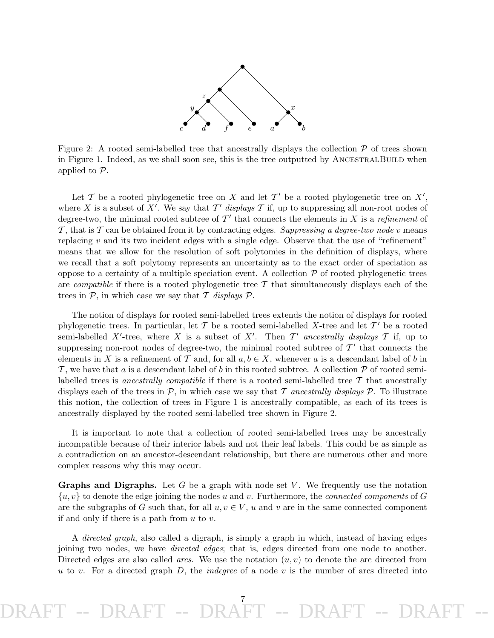

Figure 2: A rooted semi-labelled tree that ancestrally displays the collection  $P$  of trees shown in Figure 1. Indeed, as we shall soon see, this is the tree outputted by ANCESTRALBUILD when applied to P.

Let T be a rooted phylogenetic tree on X and let  $\mathcal{T}'$  be a rooted phylogenetic tree on  $X'$ , where X is a subset of X'. We say that T' displays T if, up to suppressing all non-root nodes of degree-two, the minimal rooted subtree of  $\mathcal{T}'$  that connects the elements in X is a refinement of  $\mathcal{T}$ , that is  $\mathcal{T}$  can be obtained from it by contracting edges. Suppressing a degree-two node v means replacing v and its two incident edges with a single edge. Observe that the use of "refinement" means that we allow for the resolution of soft polytomies in the definition of displays, where we recall that a soft polytomy represents an uncertainty as to the exact order of speciation as oppose to a certainty of a multiple speciation event. A collection  $P$  of rooted phylogenetic trees are *compatible* if there is a rooted phylogenetic tree  $\mathcal T$  that simultaneously displays each of the trees in  $P$ , in which case we say that  $T$  displays  $P$ .

The notion of displays for rooted semi-labelled trees extends the notion of displays for rooted phylogenetic trees. In particular, let T be a rooted semi-labelled X-tree and let  $\mathcal{T}'$  be a rooted semi-labelled X'-tree, where X is a subset of X'. Then T' ancestrally displays T if, up to suppressing non-root nodes of degree-two, the minimal rooted subtree of  $\mathcal{T}'$  that connects the elements in X is a refinement of T and, for all  $a, b \in X$ , whenever a is a descendant label of b in  $\mathcal T$ , we have that a is a descendant label of b in this rooted subtree. A collection  $\mathcal P$  of rooted semilabelled trees is ancestrally compatible if there is a rooted semi-labelled tree  $\mathcal T$  that ancestrally displays each of the trees in  $P$ , in which case we say that T ancestrally displays P. To illustrate this notion, the collection of trees in Figure 1 is ancestrally compatible, as each of its trees is ancestrally displayed by the rooted semi-labelled tree shown in Figure 2.

It is important to note that a collection of rooted semi-labelled trees may be ancestrally incompatible because of their interior labels and not their leaf labels. This could be as simple as a contradiction on an ancestor-descendant relationship, but there are numerous other and more complex reasons why this may occur.

**Graphs and Digraphs.** Let G be a graph with node set V. We frequently use the notation  $\{u, v\}$  to denote the edge joining the nodes u and v. Furthermore, the *connected components* of G are the subgraphs of G such that, for all  $u, v \in V$ , u and v are in the same connected component if and only if there is a path from  $u$  to  $v$ .

A directed graph, also called a digraph, is simply a graph in which, instead of having edges joining two nodes, we have *directed edges*; that is, edges directed from one node to another. Directed edges are also called *arcs*. We use the notation  $(u, v)$  to denote the arc directed from u to v. For a directed graph  $D$ , the *indegree* of a node v is the number of arcs directed into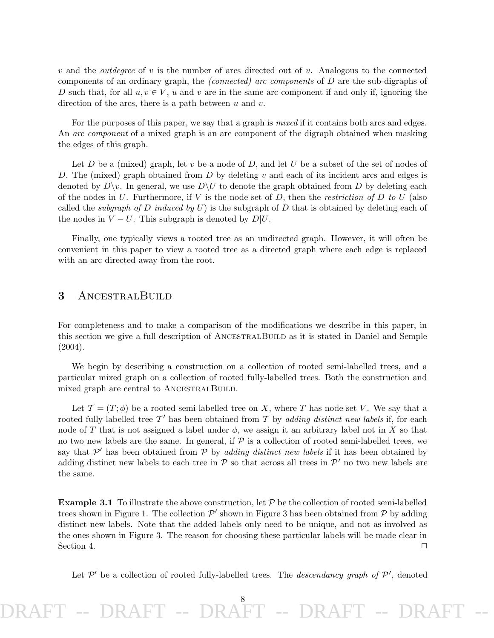v and the *outdegree* of v is the number of arcs directed out of v. Analogous to the connected components of an ordinary graph, the (connected) arc components of D are the sub-digraphs of D such that, for all  $u, v \in V$ , u and v are in the same arc component if and only if, ignoring the direction of the arcs, there is a path between  $u$  and  $v$ .

For the purposes of this paper, we say that a graph is *mixed* if it contains both arcs and edges. An arc component of a mixed graph is an arc component of the digraph obtained when masking the edges of this graph.

Let D be a (mixed) graph, let v be a node of D, and let U be a subset of the set of nodes of D. The (mixed) graph obtained from  $D$  by deleting  $v$  and each of its incident arcs and edges is denoted by  $D\backslash v$ . In general, we use  $D\backslash U$  to denote the graph obtained from D by deleting each of the nodes in U. Furthermore, if V is the node set of D, then the restriction of D to U (also called the *subgraph of* D induced by  $U$ ) is the subgraph of D that is obtained by deleting each of the nodes in  $V - U$ . This subgraph is denoted by  $D|U$ .

Finally, one typically views a rooted tree as an undirected graph. However, it will often be convenient in this paper to view a rooted tree as a directed graph where each edge is replaced with an arc directed away from the root.

## 3 AncestralBuild

For completeness and to make a comparison of the modifications we describe in this paper, in this section we give a full description of ANCESTRALBUILD as it is stated in Daniel and Semple  $(2004).$ 

We begin by describing a construction on a collection of rooted semi-labelled trees, and a particular mixed graph on a collection of rooted fully-labelled trees. Both the construction and mixed graph are central to ANCESTRALBUILD.

Let  $\mathcal{T} = (T, \phi)$  be a rooted semi-labelled tree on X, where T has node set V. We say that a rooted fully-labelled tree T' has been obtained from T by adding distinct new labels if, for each node of T that is not assigned a label under  $\phi$ , we assign it an arbitrary label not in X so that no two new labels are the same. In general, if  $P$  is a collection of rooted semi-labelled trees, we say that  $\mathcal{P}'$  has been obtained from  $\mathcal P$  by adding distinct new labels if it has been obtained by adding distinct new labels to each tree in  $P$  so that across all trees in  $P'$  no two new labels are the same.

**Example 3.1** To illustrate the above construction, let  $P$  be the collection of rooted semi-labelled trees shown in Figure 1. The collection  $\mathcal{P}'$  shown in Figure 3 has been obtained from  $\mathcal{P}$  by adding distinct new labels. Note that the added labels only need to be unique, and not as involved as the ones shown in Figure 3. The reason for choosing these particular labels will be made clear in Section 4.  $\Box$ 

Let  $\mathcal{P}'$  be a collection of rooted fully-labelled trees. The *descendancy graph of*  $\mathcal{P}'$ , denoted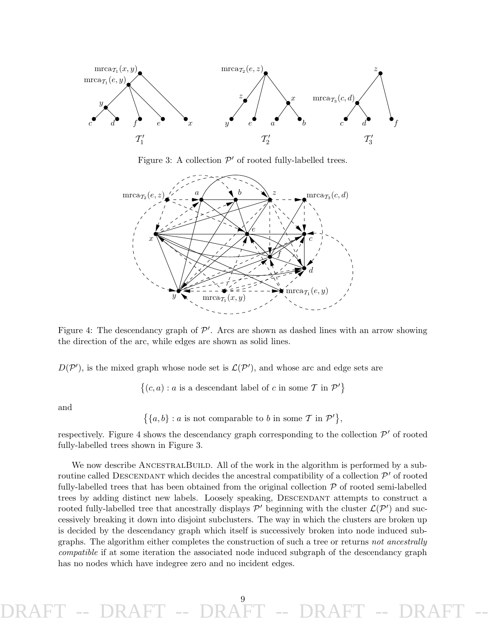

Figure 3: A collection  $\mathcal{P}'$  of rooted fully-labelled trees.



Figure 4: The descendancy graph of  $\mathcal{P}'$ . Arcs are shown as dashed lines with an arrow showing the direction of the arc, while edges are shown as solid lines.

 $D(\mathcal{P}')$ , is the mixed graph whose node set is  $\mathcal{L}(\mathcal{P}')$ , and whose arc and edge sets are

 $\{(c, a) : a \text{ is a descendant label of } c \text{ in some } T \text{ in } \mathcal{P}'\}\$ 

and

 $\{\{a,b\} : a \text{ is not comparable to } b \text{ in some } \mathcal{T} \text{ in } \mathcal{P}'\},\$ 

respectively. Figure 4 shows the descendancy graph corresponding to the collection  $\mathcal{P}'$  of rooted fully-labelled trees shown in Figure 3.

We now describe ANCESTRALBUILD. All of the work in the algorithm is performed by a subroutine called DESCENDANT which decides the ancestral compatibility of a collection  $\mathcal{P}'$  of rooted fully-labelled trees that has been obtained from the original collection  $P$  of rooted semi-labelled trees by adding distinct new labels. Loosely speaking, Descendant attempts to construct a rooted fully-labelled tree that ancestrally displays  $\mathcal{P}'$  beginning with the cluster  $\mathcal{L}(\mathcal{P}')$  and successively breaking it down into disjoint subclusters. The way in which the clusters are broken up is decided by the descendancy graph which itself is successively broken into node induced subgraphs. The algorithm either completes the construction of such a tree or returns not ancestrally compatible if at some iteration the associated node induced subgraph of the descendancy graph has no nodes which have indegree zero and no incident edges.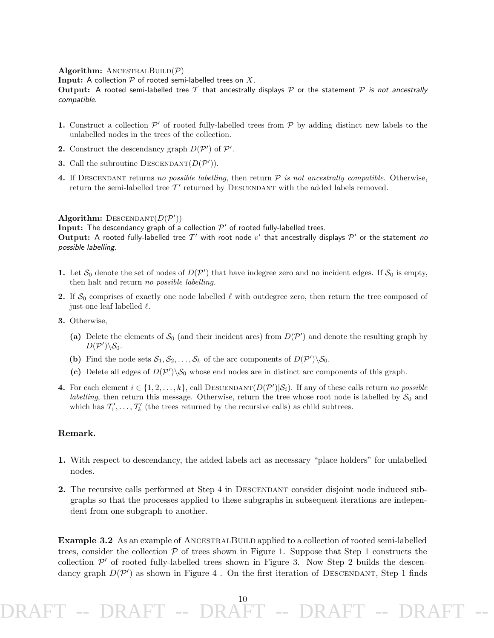### Algorithm: ANCESTRALBUILD $(\mathcal{P})$

Input: A collection  $P$  of rooted semi-labelled trees on  $X$ .

Output: A rooted semi-labelled tree T that ancestrally displays P or the statement P is not ancestrally compatible.

- 1. Construct a collection  $\mathcal{P}'$  of rooted fully-labelled trees from  $\mathcal{P}$  by adding distinct new labels to the unlabelled nodes in the trees of the collection.
- **2.** Construct the descendancy graph  $D(\mathcal{P}')$  of  $\mathcal{P}'$ .
- **3.** Call the subroutine DESCENDANT $(D(\mathcal{P}'))$ .
- 4. If DESCENDANT returns no possible labelling, then return  $\mathcal P$  is not ancestrally compatible. Otherwise, return the semi-labelled tree  $\mathcal{T}'$  returned by DESCENDANT with the added labels removed.

## Algorithm: DESCENDANT $(D(P'))$

Input: The descendancy graph of a collection  $\mathcal{P}'$  of rooted fully-labelled trees. Output: A rooted fully-labelled tree  $T'$  with root node  $v'$  that ancestrally displays  $\mathcal{P}'$  or the statement no possible labelling.

- 1. Let  $S_0$  denote the set of nodes of  $D(\mathcal{P}')$  that have indegree zero and no incident edges. If  $S_0$  is empty, then halt and return no possible labelling.
- 2. If  $\mathcal{S}_0$  comprises of exactly one node labelled  $\ell$  with outdegree zero, then return the tree composed of just one leaf labelled  $\ell$ .
- 3. Otherwise,
	- (a) Delete the elements of  $S_0$  (and their incident arcs) from  $D(\mathcal{P}')$  and denote the resulting graph by  $D(\mathcal{P}')\backslash \mathcal{S}_0$ .
	- (b) Find the node sets  $S_1, S_2, \ldots, S_k$  of the arc components of  $D(\mathcal{P}')\setminus S_0$ .
	- (c) Delete all edges of  $D(\mathcal{P}')\setminus \mathcal{S}_0$  whose end nodes are in distinct arc components of this graph.
- **4.** For each element  $i \in \{1, 2, ..., k\}$ , call DESCENDANT $(D(\mathcal{P}')|\mathcal{S}_i)$ . If any of these calls return no possible labelling, then return this message. Otherwise, return the tree whose root node is labelled by  $S_0$  and which has  $T_1', \ldots, T_k'$  (the trees returned by the recursive calls) as child subtrees.

#### Remark.

- 1. With respect to descendancy, the added labels act as necessary "place holders" for unlabelled nodes.
- 2. The recursive calls performed at Step 4 in DESCENDANT consider disjoint node induced subgraphs so that the processes applied to these subgraphs in subsequent iterations are independent from one subgraph to another.

Example 3.2 As an example of ANCESTRALBUILD applied to a collection of rooted semi-labelled trees, consider the collection  $\mathcal P$  of trees shown in Figure 1. Suppose that Step 1 constructs the collection  $\mathcal{P}'$  of rooted fully-labelled trees shown in Figure 3. Now Step 2 builds the descendancy graph  $D(\mathcal{P}')$  as shown in Figure 4. On the first iteration of DESCENDANT, Step 1 finds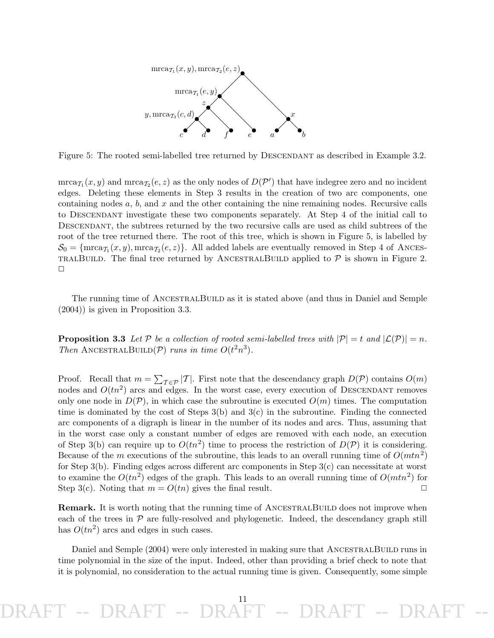

Figure 5: The rooted semi-labelled tree returned by DESCENDANT as described in Example 3.2.

mrca $\tau_1(x, y)$  and mrca $\tau_2(e, z)$  as the only nodes of  $D(p')$  that have indegree zero and no incident edges. Deleting these elements in Step 3 results in the creation of two arc components, one containing nodes  $a, b$ , and  $x$  and the other containing the nine remaining nodes. Recursive calls to Descendant investigate these two components separately. At Step 4 of the initial call to Descendant, the subtrees returned by the two recursive calls are used as child subtrees of the root of the tree returned there. The root of this tree, which is shown in Figure 5, is labelled by  $\mathcal{S}_0 = \{\text{mrca}_{\mathcal{I}_1}(x, y), \text{mrca}_{\mathcal{I}_2}(e, z)\}.$  All added labels are eventually removed in Step 4 of ANCES-TRALBUILD. The final tree returned by ANCESTRALBUILD applied to  $P$  is shown in Figure 2.  $\Box$ 

The running time of ANCESTRALBUILD as it is stated above (and thus in Daniel and Semple (2004)) is given in Proposition 3.3.

**Proposition 3.3** Let P be a collection of rooted semi-labelled trees with  $|\mathcal{P}| = t$  and  $|\mathcal{L}(\mathcal{P})| = n$ . Then ANCESTRALBUILD(P) runs in time  $O(t^2 n^3)$ .

Proof. Recall that  $m = \sum_{\mathcal{T} \in \mathcal{P}} |\mathcal{T}|$ . First note that the descendancy graph  $D(\mathcal{P})$  contains  $O(m)$ nodes and  $O(tn^2)$  arcs and edges. In the worst case, every execution of DESCENDANT removes only one node in  $D(\mathcal{P})$ , in which case the subroutine is executed  $O(m)$  times. The computation time is dominated by the cost of Steps  $3(b)$  and  $3(c)$  in the subroutine. Finding the connected arc components of a digraph is linear in the number of its nodes and arcs. Thus, assuming that in the worst case only a constant number of edges are removed with each node, an execution of Step 3(b) can require up to  $O(tn^2)$  time to process the restriction of  $D(\mathcal{P})$  it is considering. Because of the m executions of the subroutine, this leads to an overall running time of  $O(mtn^2)$ for Step 3(b). Finding edges across different arc components in Step 3(c) can necessitate at worst to examine the  $O(tn^2)$  edges of the graph. This leads to an overall running time of  $O(mtn^2)$  for Step 3(c). Noting that  $m = O(tn)$  gives the final result.  $\square$ 

**Remark.** It is worth noting that the running time of ANCESTRALBUILD does not improve when each of the trees in  $\mathcal P$  are fully-resolved and phylogenetic. Indeed, the descendancy graph still has  $O(tn^2)$  arcs and edges in such cases.

Daniel and Semple (2004) were only interested in making sure that ANCESTRALBUILD runs in time polynomial in the size of the input. Indeed, other than providing a brief check to note that it is polynomial, no consideration to the actual running time is given. Consequently, some simple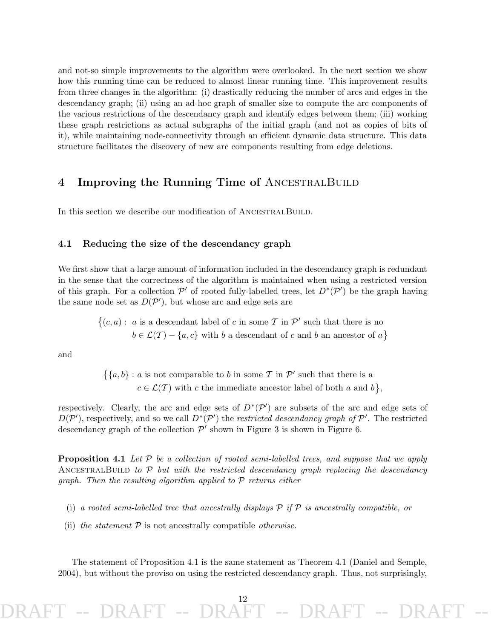and not-so simple improvements to the algorithm were overlooked. In the next section we show how this running time can be reduced to almost linear running time. This improvement results from three changes in the algorithm: (i) drastically reducing the number of arcs and edges in the descendancy graph; (ii) using an ad-hoc graph of smaller size to compute the arc components of the various restrictions of the descendancy graph and identify edges between them; (iii) working these graph restrictions as actual subgraphs of the initial graph (and not as copies of bits of it), while maintaining node-connectivity through an efficient dynamic data structure. This data structure facilitates the discovery of new arc components resulting from edge deletions.

## 4 Improving the Running Time of ANCESTRALBUILD

In this section we describe our modification of ANCESTRALBUILD.

### 4.1 Reducing the size of the descendancy graph

We first show that a large amount of information included in the descendancy graph is redundant in the sense that the correctness of the algorithm is maintained when using a restricted version of this graph. For a collection  $\mathcal{P}'$  of rooted fully-labelled trees, let  $D^*(\mathcal{P}')$  be the graph having the same node set as  $D(\mathcal{P}')$ , but whose arc and edge sets are

> $\{(c, a): a \text{ is a descendant label of } c \text{ in some } T \text{ in } P' \text{ such that there is no }$  $b \in \mathcal{L}(\mathcal{T}) - \{a, c\}$  with b a descendant of c and b an ancestor of a}

and

 $\{ \{a, b\} : a$  is not comparable to b in some T in P' such that there is a  $c \in \mathcal{L}(\mathcal{T})$  with c the immediate ancestor label of both a and  $b$ ,

respectively. Clearly, the arc and edge sets of  $D^*(\mathcal{P}')$  are subsets of the arc and edge sets of  $D(\mathcal{P}')$ , respectively, and so we call  $D^*(\mathcal{P}')$  the restricted descendancy graph of  $\mathcal{P}'$ . The restricted descendancy graph of the collection  $\mathcal{P}'$  shown in Figure 3 is shown in Figure 6.

**Proposition 4.1** Let  $\mathcal{P}$  be a collection of rooted semi-labelled trees, and suppose that we apply ANCESTRALBUILD to  $P$  but with the restricted descendancy graph replacing the descendancy graph. Then the resulting algorithm applied to  $P$  returns either

- (i) a rooted semi-labelled tree that ancestrally displays  $\mathcal P$  if  $\mathcal P$  is ancestrally compatible, or
- (ii) the statement  $P$  is not ancestrally compatible *otherwise*.

The statement of Proposition 4.1 is the same statement as Theorem 4.1 (Daniel and Semple, 2004), but without the proviso on using the restricted descendancy graph. Thus, not surprisingly,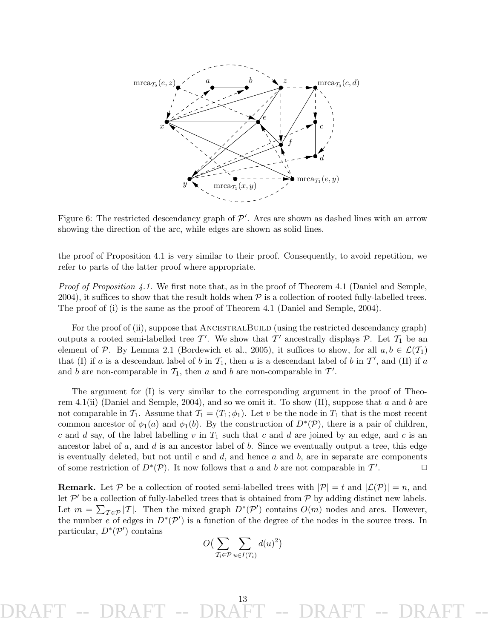

Figure 6: The restricted descendancy graph of  $\mathcal{P}'$ . Arcs are shown as dashed lines with an arrow showing the direction of the arc, while edges are shown as solid lines.

the proof of Proposition 4.1 is very similar to their proof. Consequently, to avoid repetition, we refer to parts of the latter proof where appropriate.

*Proof of Proposition 4.1.* We first note that, as in the proof of Theorem 4.1 (Daniel and Semple, 2004), it suffices to show that the result holds when  $P$  is a collection of rooted fully-labelled trees. The proof of (i) is the same as the proof of Theorem 4.1 (Daniel and Semple, 2004).

For the proof of (ii), suppose that ANCESTRALBUILD (using the restricted descendancy graph) outputs a rooted semi-labelled tree T'. We show that T' ancestrally displays P. Let  $\mathcal{T}_1$  be an element of P. By Lemma 2.1 (Bordewich et al., 2005), it suffices to show, for all  $a, b \in \mathcal{L}(\mathcal{T}_1)$ that (I) if a is a descendant label of b in  $\mathcal{T}_1$ , then a is a descendant label of b in  $\mathcal{T}'$ , and (II) if a and b are non-comparable in  $\mathcal{T}_1$ , then a and b are non-comparable in  $\mathcal{T}'$ .

The argument for (I) is very similar to the corresponding argument in the proof of Theorem 4.1(ii) (Daniel and Semple, 2004), and so we omit it. To show (II), suppose that a and b are not comparable in  $\mathcal{T}_1$ . Assume that  $\mathcal{T}_1 = (T_1; \phi_1)$ . Let v be the node in  $T_1$  that is the most recent common ancestor of  $\phi_1(a)$  and  $\phi_1(b)$ . By the construction of  $D^*(\mathcal{P})$ , there is a pair of children, c and d say, of the label labelling v in  $T_1$  such that c and d are joined by an edge, and c is an ancestor label of  $a$ , and  $d$  is an ancestor label of  $b$ . Since we eventually output a tree, this edge is eventually deleted, but not until c and  $d$ , and hence  $a$  and  $b$ , are in separate arc components of some restriction of  $D^*(\mathcal{P})$ . It now follows that a and b are not comparable in  $\mathcal{T}'$  $\Box$ 

**Remark.** Let P be a collection of rooted semi-labelled trees with  $|\mathcal{P}| = t$  and  $|\mathcal{L}(\mathcal{P})| = n$ , and let  $\mathcal{P}'$  be a collection of fully-labelled trees that is obtained from  $\mathcal P$  by adding distinct new labels. Let  $m = \sum_{\mathcal{T} \in \mathcal{P}} |\mathcal{T}|$ . Then the mixed graph  $D^*(\mathcal{P}')$  contains  $O(m)$  nodes and arcs. However, the number e of edges in  $D^*(\mathcal{P}')$  is a function of the degree of the nodes in the source trees. In particular,  $D^*(\mathcal{P}')$  contains

$$
O\big(\sum_{\mathcal{T}_i \in \mathcal{P}} \sum_{u \in I(T_i)} d(u)^2\big)
$$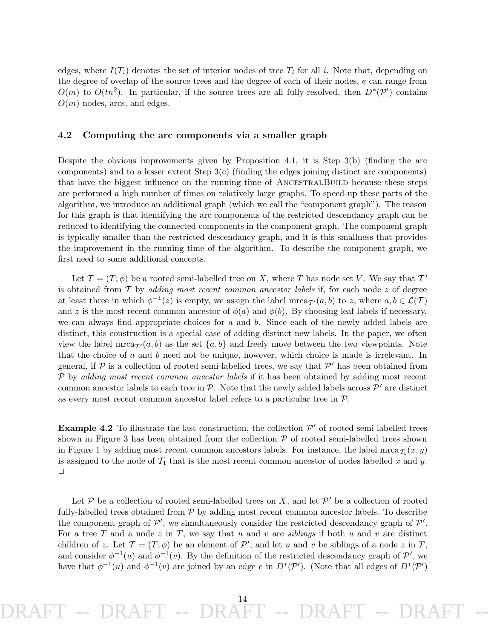edges, where  $I(T_i)$  denotes the set of interior nodes of tree  $T_i$  for all i. Note that, depending on the degree of overlap of the source trees and the degree of each of their nodes, e can range from  $O(m)$  to  $O(tn^2)$ . In particular, if the source trees are all fully-resolved, then  $D^*(\mathcal{P}')$  contains  $O(m)$  nodes, arcs, and edges.

#### 4.2 Computing the arc components via a smaller graph

Despite the obvious improvements given by Proposition 4.1, it is Step 3(b) (finding the arc components) and to a lesser extent Step 3(c) (finding the edges joining distinct arc components) that have the biggest influence on the running time of ANCESTRALBUILD because these steps are performed a high number of times on relatively large graphs. To speed-up these parts of the algorithm, we introduce an additional graph (which we call the "component graph"). The reason for this graph is that identifying the arc components of the restricted descendancy graph can be reduced to identifying the connected components in the component graph. The component graph is typically smaller than the restricted descendancy graph, and it is this smallness that provides the improvement in the running time of the algorithm. To describe the component graph, we first need to some additional concepts.

Let  $\mathcal{T} = (T, \phi)$  be a rooted semi-labelled tree on X, where T has node set V. We say that  $\mathcal{T}'$ is obtained from  $\mathcal T$  by adding most recent common ancestor labels if, for each node  $z$  of degree at least three in which  $\phi^{-1}(z)$  is empty, we assign the label mrca<sub>T'</sub> $(a, b)$  to z, where  $a, b \in \mathcal{L}(\mathcal{T})$ and z is the most recent common ancestor of  $\phi(a)$  and  $\phi(b)$ . By choosing leaf labels if necessary, we can always find appropriate choices for  $a$  and  $b$ . Since each of the newly added labels are distinct, this construction is a special case of adding distinct new labels. In the paper, we often view the label mrca $\tau^{\prime}(a, b)$  as the set  $\{a, b\}$  and freely move between the two viewpoints. Note that the choice of  $a$  and  $b$  need not be unique, however, which choice is made is irrelevant. In general, if  $P$  is a collection of rooted semi-labelled trees, we say that  $P'$  has been obtained from  $P$  by adding most recent common ancestor labels if it has been obtained by adding most recent common ancestor labels to each tree in  $P$ . Note that the newly added labels across  $P'$  are distinct as every most recent common ancestor label refers to a particular tree in P.

**Example 4.2** To illustrate the last construction, the collection  $\mathcal{P}'$  of rooted semi-labelled trees shown in Figure 3 has been obtained from the collection  $P$  of rooted semi-labelled trees shown in Figure 1 by adding most recent common ancestors labels. For instance, the label  $mca_{\mathcal{T}_1}(x, y)$ is assigned to the node of  $\mathcal{T}_1$  that is the most recent common ancestor of nodes labelled x and y.  $\Box$ 

Let P be a collection of rooted semi-labelled trees on X, and let  $\mathcal{P}'$  be a collection of rooted fully-labelled trees obtained from  $P$  by adding most recent common ancestor labels. To describe the component graph of  $\mathcal{P}'$ , we simultaneously consider the restricted descendancy graph of  $\mathcal{P}'$ . For a tree T and a node z in T, we say that u and v are siblings if both u and v are distinct children of z. Let  $\mathcal{T} = (T, \phi)$  be an element of  $\mathcal{P}'$ , and let u and v be siblings of a node z in T, and consider  $\phi^{-1}(u)$  and  $\phi^{-1}(v)$ . By the definition of the restricted descendancy graph of  $\mathcal{P}'$ , we have that  $\phi^{-1}(u)$  and  $\phi^{-1}(v)$  are joined by an edge e in  $D^*(\mathcal{P}')$ . (Note that all edges of  $D^*(\mathcal{P}')$ )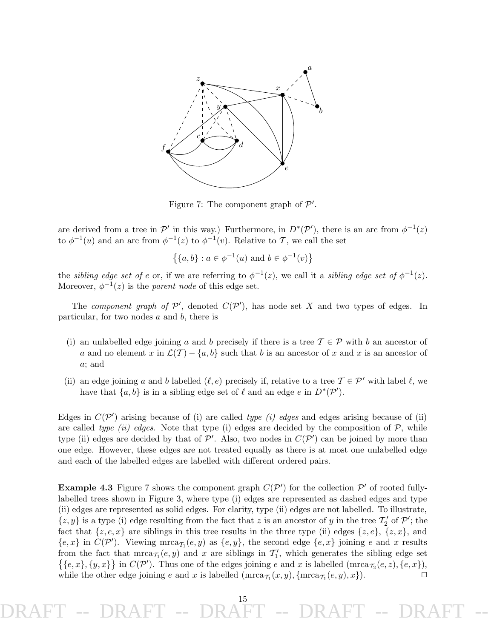

Figure 7: The component graph of  $\mathcal{P}'$ .

are derived from a tree in  $\mathcal{P}'$  in this way.) Furthermore, in  $D^*(\mathcal{P}')$ , there is an arc from  $\phi^{-1}(z)$ to  $\phi^{-1}(u)$  and an arc from  $\phi^{-1}(z)$  to  $\phi^{-1}(v)$ . Relative to T, we call the set

$$
\{ \{a, b\} : a \in \phi^{-1}(u) \text{ and } b \in \phi^{-1}(v) \}
$$

the sibling edge set of e or, if we are referring to  $\phi^{-1}(z)$ , we call it a sibling edge set of  $\phi^{-1}(z)$ . Moreover,  $\phi^{-1}(z)$  is the *parent node* of this edge set.

The component graph of  $\mathcal{P}'$ , denoted  $C(\mathcal{P}')$ , has node set X and two types of edges. In particular, for two nodes a and b, there is

- (i) an unlabelled edge joining a and b precisely if there is a tree  $\mathcal{T} \in \mathcal{P}$  with b an ancestor of a and no element x in  $\mathcal{L}(\mathcal{T}) - \{a, b\}$  such that b is an ancestor of x and x is an ancestor of a; and
- (ii) an edge joining a and b labelled  $(\ell, e)$  precisely if, relative to a tree  $\mathcal{T} \in \mathcal{P}'$  with label  $\ell$ , we have that  $\{a, b\}$  is in a sibling edge set of  $\ell$  and an edge  $e$  in  $D^*(\mathcal{P}')$ .

Edges in  $C(\mathcal{P}')$  arising because of (i) are called type (i) edges and edges arising because of (ii) are called type (ii) edges. Note that type (i) edges are decided by the composition of  $P$ , while type (ii) edges are decided by that of  $\mathcal{P}'$ . Also, two nodes in  $C(\mathcal{P}')$  can be joined by more than one edge. However, these edges are not treated equally as there is at most one unlabelled edge and each of the labelled edges are labelled with different ordered pairs.

**Example 4.3** Figure 7 shows the component graph  $C(\mathcal{P}')$  for the collection  $\mathcal{P}'$  of rooted fullylabelled trees shown in Figure 3, where type (i) edges are represented as dashed edges and type (ii) edges are represented as solid edges. For clarity, type (ii) edges are not labelled. To illustrate,  $\{z, y\}$  is a type (i) edge resulting from the fact that z is an ancestor of y in the tree  $\mathcal{T}'_2$  $\frac{1}{2}$  of  $\mathcal{P}'$ ; the fact that  $\{z, e, x\}$  are siblings in this tree results in the three type (ii) edges  $\{z, e\}$ ,  $\{z, x\}$ , and  $\{e, x\}$  in  $C(\mathcal{P}')$ . Viewing mrca $\tau_1(e, y)$  as  $\{e, y\}$ , the second edge  $\{e, x\}$  joining e and x results from the fact that  $m \text{rca}_{\mathcal{T}_1}(e, y)$  and x are siblings in  $\mathcal{T}'_1$  $\frac{1}{1}$ , which generates the sibling edge set  $\{\{e, x\}, \{y, x\}\}\$ in  $C(\mathcal{P}')$ . Thus one of the edges joining e and x is labelled  $(\text{mrea}_{\mathcal{I}_2}(e, z), \{e, x\})$ , while the other edge joining e and x is labelled  $(\text{mrea}_{\mathcal{T}_1}(x, y), \{\text{mrea}_{\mathcal{T}_1}(e, y), x\}).$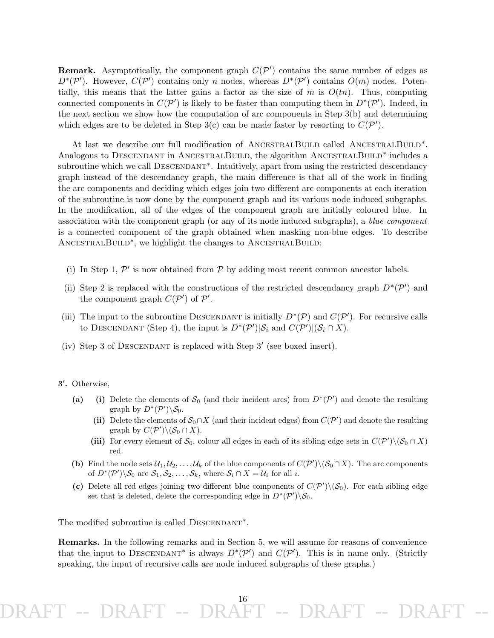**Remark.** Asymptotically, the component graph  $C(P')$  contains the same number of edges as  $D^*(\mathcal{P}')$ . However,  $C(\mathcal{P}')$  contains only n nodes, whereas  $D^*(\mathcal{P}')$  contains  $O(m)$  nodes. Potentially, this means that the latter gains a factor as the size of m is  $O(tn)$ . Thus, computing connected components in  $C(\mathcal{P}')$  is likely to be faster than computing them in  $D^*(\mathcal{P}')$ . Indeed, in the next section we show how the computation of arc components in Step 3(b) and determining which edges are to be deleted in Step  $3(c)$  can be made faster by resorting to  $C(\mathcal{P}')$ .

At last we describe our full modification of ANCESTRALBUILD called ANCESTRALBUILD<sup>\*</sup>. Analogous to DESCENDANT in ANCESTRALBUILD, the algorithm ANCESTRALBUILD<sup>\*</sup> includes a subroutine which we call DESCENDANT<sup>∗</sup>. Intuitively, apart from using the restricted descendancy graph instead of the descendancy graph, the main difference is that all of the work in finding the arc components and deciding which edges join two different arc components at each iteration of the subroutine is now done by the component graph and its various node induced subgraphs. In the modification, all of the edges of the component graph are initially coloured blue. In association with the component graph (or any of its node induced subgraphs), a blue component is a connected component of the graph obtained when masking non-blue edges. To describe ANCESTRALBUILD<sup>\*</sup>, we highlight the changes to ANCESTRALBUILD:

- (i) In Step 1,  $\mathcal{P}'$  is now obtained from  $\mathcal P$  by adding most recent common ancestor labels.
- (ii) Step 2 is replaced with the constructions of the restricted descendancy graph  $D^*(\mathcal{P}')$  and the component graph  $C(\mathcal{P}')$  of  $\mathcal{P}'$ .
- (iii) The input to the subroutine DESCENDANT is initially  $D^*(\mathcal{P})$  and  $C(\mathcal{P}')$ . For recursive calls to DESCENDANT (Step 4), the input is  $D^*(\mathcal{P}')|\mathcal{S}_i$  and  $C(\mathcal{P}')|(\mathcal{S}_i \cap X)$ .
- (iv) Step 3 of DESCENDANT is replaced with Step  $3'$  (see boxed insert).

### 3 0 . Otherwise,

- (a) (i) Delete the elements of  $S_0$  (and their incident arcs) from  $D^*(\mathcal{P}')$  and denote the resulting graph by  $D^*(\mathcal{P}')\backslash \mathcal{S}_0$ .
	- (ii) Delete the elements of  $S_0 \cap X$  (and their incident edges) from  $C(\mathcal{P}')$  and denote the resulting graph by  $C(\mathcal{P}')\setminus (\mathcal{S}_0 \cap X)$ .
	- (iii) For every element of  $S_0$ , colour all edges in each of its sibling edge sets in  $C(\mathcal{P}')\setminus (S_0 \cap X)$ red.
- (b) Find the node sets  $\mathcal{U}_1, \mathcal{U}_2, \ldots, \mathcal{U}_k$  of the blue components of  $C(\mathcal{P}')\setminus (\mathcal{S}_0 \cap X)$ . The arc components of  $D^*(\mathcal{P}')\backslash \mathcal{S}_0$  are  $\mathcal{S}_1, \mathcal{S}_2, \ldots, \mathcal{S}_k$ , where  $\mathcal{S}_i \cap X = \mathcal{U}_i$  for all i.
- (c) Delete all red edges joining two different blue components of  $C(\mathcal{P}')\setminus(\mathcal{S}_0)$ . For each sibling edge set that is deleted, delete the corresponding edge in  $D^*(\mathcal{P}')\setminus \mathcal{S}_0$ .

The modified subroutine is called DESCENDANT<sup>\*</sup>.

Remarks. In the following remarks and in Section 5, we will assume for reasons of convenience that the input to DESCENDANT<sup>\*</sup> is always  $D^*(\mathcal{P}')$  and  $C(\mathcal{P}')$ . This is in name only. (Strictly speaking, the input of recursive calls are node induced subgraphs of these graphs.)

16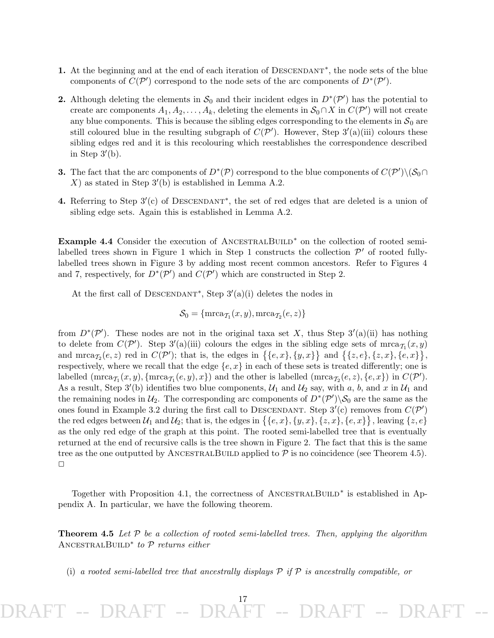- 1. At the beginning and at the end of each iteration of DESCENDANT<sup>\*</sup>, the node sets of the blue components of  $C(\mathcal{P}')$  correspond to the node sets of the arc components of  $D^*(\mathcal{P}')$ .
- **2.** Although deleting the elements in  $\mathcal{S}_0$  and their incident edges in  $D^*(\mathcal{P}')$  has the potential to create arc components  $A_1, A_2, \ldots, A_k$ , deleting the elements in  $\mathcal{S}_0 \cap X$  in  $C(\mathcal{P}')$  will not create any blue components. This is because the sibling edges corresponding to the elements in  $S_0$  are still coloured blue in the resulting subgraph of  $C(\mathcal{P}')$ . However, Step 3'(a)(iii) colours these sibling edges red and it is this recolouring which reestablishes the correspondence described in Step  $3'(b)$ .
- **3.** The fact that the arc components of  $D^*(\mathcal{P})$  correspond to the blue components of  $C(\mathcal{P}')\setminus(\mathcal{S}_0\cap\mathcal{S}_0)$  $(X)$  as stated in Step  $3'(b)$  is established in Lemma A.2.
- 4. Referring to Step  $3'(c)$  of DESCENDANT<sup>\*</sup>, the set of red edges that are deleted is a union of sibling edge sets. Again this is established in Lemma A.2.

Example 4.4 Consider the execution of AncestralBuild<sup>∗</sup> on the collection of rooted semilabelled trees shown in Figure 1 which in Step 1 constructs the collection  $\mathcal{P}'$  of rooted fullylabelled trees shown in Figure 3 by adding most recent common ancestors. Refer to Figures 4 and 7, respectively, for  $D^*(\mathcal{P}')$  and  $C(\mathcal{P}')$  which are constructed in Step 2.

At the first call of DESCENDANT<sup>\*</sup>, Step  $3'(a)(i)$  deletes the nodes in

$$
\mathcal{S}_0 = \{\mathrm{mrca}_{\mathcal{T}_1}(x,y), \mathrm{mrca}_{\mathcal{T}_2}(e,z)\}
$$

from  $D^*(\mathcal{P}')$ . These nodes are not in the original taxa set X, thus Step 3'(a)(ii) has nothing to delete from  $C(\mathcal{P}')$ . Step 3'(a)(iii) colours the edges in the sibling edge sets of mrca $\tau_1(x,y)$ and  $\{z, e\}$ ,  $\{e, z\}$  red in  $C(\mathcal{P}')$ ; that is, the edges in  $\{e, x\}$ ,  $\{y, x\}$  and  $\{z, e\}$ ,  $\{z, x\}$ ,  $\{e, x\}$ , respectively, where we recall that the edge  $\{e, x\}$  in each of these sets is treated differently; one is labelled  $(\text{mrea}_{\mathcal{T}_1}(x, y), \{\text{mrea}_{\mathcal{T}_1}(e, y), x\})$  and the other is labelled  $(\text{mrea}_{\mathcal{T}_2}(e, z), \{e, x\})$  in  $C(\mathcal{P}')$ . As a result, Step 3'(b) identifies two blue components,  $\mathcal{U}_1$  and  $\mathcal{U}_2$  say, with a, b, and x in  $\mathcal{U}_1$  and the remaining nodes in  $\mathcal{U}_2$ . The corresponding arc components of  $D^*(\mathcal{P}')\setminus \mathcal{S}_0$  are the same as the ones found in Example 3.2 during the first call to DESCENDANT. Step  $3'(c)$  removes from  $C(\mathcal{P}')$ the red edges between  $\mathcal{U}_1$  and  $\mathcal{U}_2$ ; that is, the edges in  $\{\{e, x\}, \{y, x\}, \{z, x\}, \{e, x\}\}\,$  leaving  $\{z, e\}$ as the only red edge of the graph at this point. The rooted semi-labelled tree that is eventually returned at the end of recursive calls is the tree shown in Figure 2. The fact that this is the same tree as the one outputted by ANCESTRALBUILD applied to  $P$  is no coincidence (see Theorem 4.5).  $\Box$ 

Together with Proposition 4.1, the correctness of ANCESTRALBUILD<sup>\*</sup> is established in Appendix A. In particular, we have the following theorem.

**Theorem 4.5** Let  $P$  be a collection of rooted semi-labelled trees. Then, applying the algorithm ANCESTRALBUILD<sup>\*</sup> to  $P$  returns either

(i) a rooted semi-labelled tree that ancestrally displays  $P$  if  $P$  is ancestrally compatible, or

17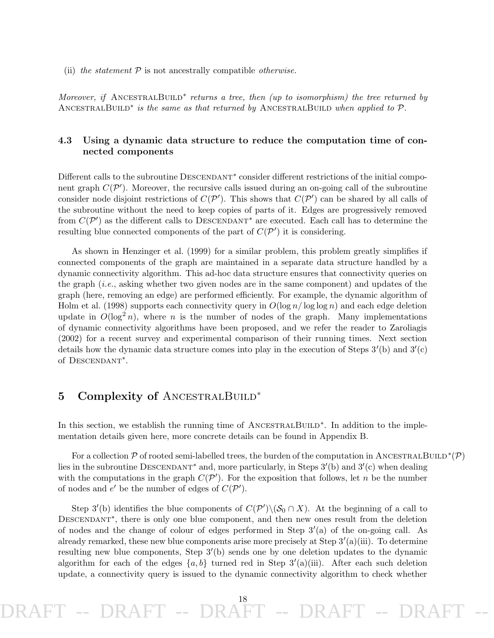(ii) the statement  $P$  is not ancestrally compatible *otherwise*.

Moreover, if ANCESTRALBUILD<sup>\*</sup> returns a tree, then (up to isomorphism) the tree returned by ANCESTRALBUILD<sup>\*</sup> is the same as that returned by ANCESTRALBUILD when applied to  $P$ .

### 4.3 Using a dynamic data structure to reduce the computation time of connected components

Different calls to the subroutine DESCENDANT<sup>\*</sup> consider different restrictions of the initial component graph  $C(\mathcal{P}')$ . Moreover, the recursive calls issued during an on-going call of the subroutine consider node disjoint restrictions of  $C(\mathcal{P}')$ . This shows that  $C(\mathcal{P}')$  can be shared by all calls of the subroutine without the need to keep copies of parts of it. Edges are progressively removed from  $C(\mathcal{P}')$  as the different calls to DESCENDANT<sup>\*</sup> are executed. Each call has to determine the resulting blue connected components of the part of  $C(\mathcal{P}')$  it is considering.

As shown in Henzinger et al. (1999) for a similar problem, this problem greatly simplifies if connected components of the graph are maintained in a separate data structure handled by a dynamic connectivity algorithm. This ad-hoc data structure ensures that connectivity queries on the graph (i.e., asking whether two given nodes are in the same component) and updates of the graph (here, removing an edge) are performed efficiently. For example, the dynamic algorithm of Holm et al. (1998) supports each connectivity query in  $O(\log n/\log \log n)$  and each edge deletion update in  $O(\log^2 n)$ , where *n* is the number of nodes of the graph. Many implementations of dynamic connectivity algorithms have been proposed, and we refer the reader to Zaroliagis (2002) for a recent survey and experimental comparison of their running times. Next section details how the dynamic data structure comes into play in the execution of Steps  $3'(b)$  and  $3'(c)$ of DESCENDANT<sup>\*</sup>.

## 5 Complexity of ANCESTRALBUILD<sup>\*</sup>

In this section, we establish the running time of ANCESTRALBUILD<sup>\*</sup>. In addition to the implementation details given here, more concrete details can be found in Appendix B.

For a collection  $\mathcal P$  of rooted semi-labelled trees, the burden of the computation in ANCESTRALBUILD<sup>∗</sup> $(\mathcal P)$ lies in the subroutine DESCENDANT<sup>∗</sup> and, more particularly, in Steps 3'(b) and 3'(c) when dealing with the computations in the graph  $C(\mathcal{P}')$ . For the exposition that follows, let n be the number of nodes and  $e'$  be the number of edges of  $C(\mathcal{P}')$ .

Step 3'(b) identifies the blue components of  $C(\mathcal{P}')\setminus (\mathcal{S}_0 \cap X)$ . At the beginning of a call to DESCENDANT<sup>\*</sup>, there is only one blue component, and then new ones result from the deletion of nodes and the change of colour of edges performed in Step  $3'(a)$  of the on-going call. As already remarked, these new blue components arise more precisely at Step  $3'(a)(iii)$ . To determine resulting new blue components, Step  $3'(b)$  sends one by one deletion updates to the dynamic algorithm for each of the edges  $\{a, b\}$  turned red in Step 3'(a)(iii). After each such deletion update, a connectivity query is issued to the dynamic connectivity algorithm to check whether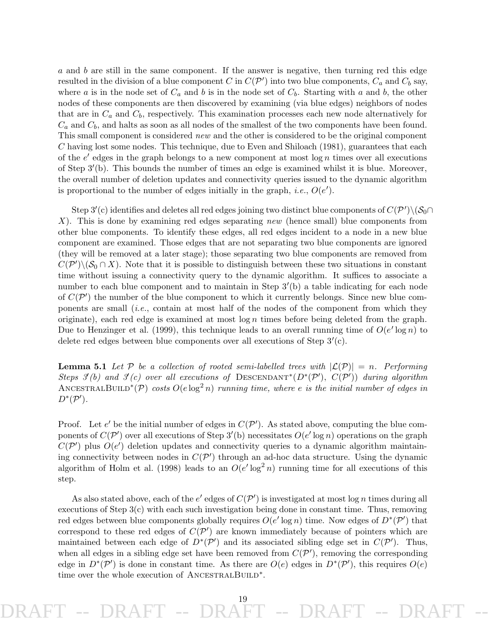a and b are still in the same component. If the answer is negative, then turning red this edge resulted in the division of a blue component C in  $C(\mathcal{P}')$  into two blue components,  $C_a$  and  $C_b$  say, where a is in the node set of  $C_a$  and b is in the node set of  $C_b$ . Starting with a and b, the other nodes of these components are then discovered by examining (via blue edges) neighbors of nodes that are in  $C_a$  and  $C_b$ , respectively. This examination processes each new node alternatively for  $C_a$  and  $C_b$ , and halts as soon as all nodes of the smallest of the two components have been found. This small component is considered new and the other is considered to be the original component C having lost some nodes. This technique, due to Even and Shiloach (1981), guarantees that each of the  $e'$  edges in the graph belongs to a new component at most log n times over all executions of Step 3'(b). This bounds the number of times an edge is examined whilst it is blue. Moreover, the overall number of deletion updates and connectivity queries issued to the dynamic algorithm is proportional to the number of edges initially in the graph, *i.e.*,  $O(e')$ .

Step 3'(c) identifies and deletes all red edges joining two distinct blue components of  $C(\mathcal{P}')\backslash (\mathcal{S}_0\cap)$ X). This is done by examining red edges separating new (hence small) blue components from other blue components. To identify these edges, all red edges incident to a node in a new blue component are examined. Those edges that are not separating two blue components are ignored (they will be removed at a later stage); those separating two blue components are removed from  $C(\mathcal{P}')\setminus (\mathcal{S}_0 \cap X)$ . Note that it is possible to distinguish between these two situations in constant time without issuing a connectivity query to the dynamic algorithm. It suffices to associate a number to each blue component and to maintain in Step  $3'(b)$  a table indicating for each node of  $C(\mathcal{P}')$  the number of the blue component to which it currently belongs. Since new blue components are small  $(i.e., \text{ contain at most half of the nodes of the component from which they$ originate), each red edge is examined at most  $log n$  times before being deleted from the graph. Due to Henzinger et al. (1999), this technique leads to an overall running time of  $O(e' \log n)$  to delete red edges between blue components over all executions of Step  $3'(c)$ .

**Lemma 5.1** Let P be a collection of rooted semi-labelled trees with  $|\mathcal{L}(\mathcal{P})| = n$ . Performing Steps 3'(b) and 3'(c) over all executions of DESCENDANT<sup>\*</sup>( $D^*(\mathcal{P}')$ ,  $C(\mathcal{P}')$ ) during algorithm ANCESTRALBUILD<sup>\*</sup>(P) costs  $O(e \log^2 n)$  running time, where e is the initial number of edges in  $D^*(\mathcal{P}^\prime)$ .

Proof. Let e' be the initial number of edges in  $C(\mathcal{P}')$ . As stated above, computing the blue components of  $C(\mathcal{P}')$  over all executions of Step 3'(b) necessitates  $O(e' \log n)$  operations on the graph  $C(\mathcal{P}')$  plus  $O(e')$  deletion updates and connectivity queries to a dynamic algorithm maintaining connectivity between nodes in  $C(\mathcal{P}')$  through an ad-hoc data structure. Using the dynamic algorithm of Holm et al. (1998) leads to an  $O(e' \log^2 n)$  running time for all executions of this step.

As also stated above, each of the e' edges of  $C(\mathcal{P}')$  is investigated at most log n times during all executions of Step  $3(c)$  with each such investigation being done in constant time. Thus, removing red edges between blue components globally requires  $O(e' \log n)$  time. Now edges of  $D^*(\mathcal{P}')$  that correspond to these red edges of  $C(P')$  are known immediately because of pointers which are maintained between each edge of  $D^*(\mathcal{P}')$  and its associated sibling edge set in  $C(\mathcal{P}')$ . Thus, when all edges in a sibling edge set have been removed from  $C(\mathcal{P}')$ , removing the corresponding edge in  $D^*(\mathcal{P}')$  is done in constant time. As there are  $O(e)$  edges in  $D^*(\mathcal{P}')$ , this requires  $O(e)$ time over the whole execution of ANCESTRALBUILD<sup>\*</sup>.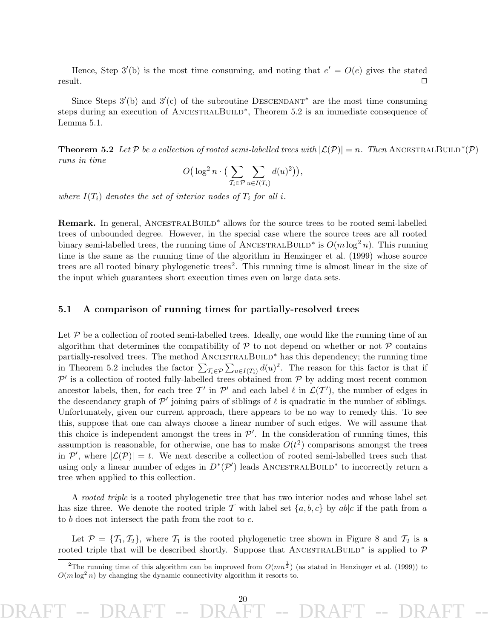Hence, Step 3'(b) is the most time consuming, and noting that  $e' = O(e)$  gives the stated  $r$ esult.  $\Box$ 

Since Steps  $3'(b)$  and  $3'(c)$  of the subroutine DESCENDANT<sup>\*</sup> are the most time consuming steps during an execution of ANCESTRALBUILD<sup>\*</sup>, Theorem 5.2 is an immediate consequence of Lemma 5.1.

**Theorem 5.2** Let P be a collection of rooted semi-labelled trees with  $|\mathcal{L}(\mathcal{P})| = n$ . Then ANCESTRALBUILD<sup>\*</sup>(P) runs in time

$$
O\big(\log^2 n \cdot \big(\sum_{T_i \in \mathcal{P}} \sum_{u \in I(T_i)} d(u)^2\big)\big),\,
$$

where  $I(T_i)$  denotes the set of interior nodes of  $T_i$  for all i.

Remark. In general, ANCESTRALBUILD<sup>∗</sup> allows for the source trees to be rooted semi-labelled trees of unbounded degree. However, in the special case where the source trees are all rooted binary semi-labelled trees, the running time of ANCESTRALBUILD<sup>\*</sup> is  $O(m \log^2 n)$ . This running time is the same as the running time of the algorithm in Henzinger et al. (1999) whose source trees are all rooted binary phylogenetic trees<sup>2</sup>. This running time is almost linear in the size of the input which guarantees short execution times even on large data sets.

### 5.1 A comparison of running times for partially-resolved trees

Let  $P$  be a collection of rooted semi-labelled trees. Ideally, one would like the running time of an algorithm that determines the compatibility of  $P$  to not depend on whether or not  $P$  contains partially-resolved trees. The method  $\Lambda$ NCESTRALBUILD<sup> $*$ </sup> has this dependency; the running time in Theorem 5.2 includes the factor  $\sum_{\mathcal{T}_i \in \mathcal{P}} \sum_{u \in I(T_i)} d(u)^2$ . The reason for this factor is that if  $\mathcal{P}'$  is a collection of rooted fully-labelled trees obtained from  $\mathcal P$  by adding most recent common ancestor labels, then, for each tree  $\mathcal{T}'$  in  $\mathcal{P}'$  and each label  $\ell$  in  $\mathcal{L}(\mathcal{T}')$ , the number of edges in the descendancy graph of  $\mathcal{P}'$  joining pairs of siblings of  $\ell$  is quadratic in the number of siblings. Unfortunately, given our current approach, there appears to be no way to remedy this. To see this, suppose that one can always choose a linear number of such edges. We will assume that this choice is independent amongst the trees in  $\mathcal{P}'$ . In the consideration of running times, this assumption is reasonable, for otherwise, one has to make  $O(t^2)$  comparisons amongst the trees in P', where  $|\mathcal{L}(\mathcal{P})| = t$ . We next describe a collection of rooted semi-labelled trees such that using only a linear number of edges in  $D^*(\mathcal{P}')$  leads ANCESTRALBUILD<sup>\*</sup> to incorrectly return a tree when applied to this collection.

A rooted triple is a rooted phylogenetic tree that has two interior nodes and whose label set has size three. We denote the rooted triple T with label set  $\{a, b, c\}$  by ab|c if the path from a to b does not intersect the path from the root to c.

Let  $\mathcal{P} = {\mathcal{T}_1, \mathcal{T}_2}$ , where  $\mathcal{T}_1$  is the rooted phylogenetic tree shown in Figure 8 and  $\mathcal{T}_2$  is a rooted triple that will be described shortly. Suppose that ANCESTRALBUILD<sup>\*</sup> is applied to  $\mathcal P$ 

<sup>&</sup>lt;sup>2</sup>The running time of this algorithm can be improved from  $O(mn^{\frac{1}{2}})$  (as stated in Henzinger et al. (1999)) to  $O(m \log^2 n)$  by changing the dynamic connectivity algorithm it resorts to.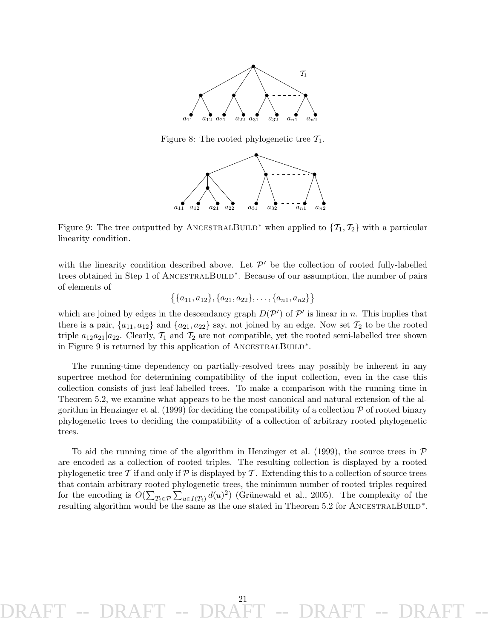

Figure 8: The rooted phylogenetic tree  $\mathcal{T}_1$ .



Figure 9: The tree outputted by ANCESTRALBUILD<sup>\*</sup> when applied to  $\{T_1, T_2\}$  with a particular linearity condition.

with the linearity condition described above. Let  $\mathcal{P}'$  be the collection of rooted fully-labelled trees obtained in Step 1 of ANCESTRALBUILD<sup>\*</sup>. Because of our assumption, the number of pairs of elements of

$$
\{ \{a_{11}, a_{12}\}, \{a_{21}, a_{22}\}, \ldots, \{a_{n1}, a_{n2}\} \}
$$

which are joined by edges in the descendancy graph  $D(\mathcal{P}')$  of  $\mathcal{P}'$  is linear in n. This implies that there is a pair,  $\{a_{11}, a_{12}\}$  and  $\{a_{21}, a_{22}\}$  say, not joined by an edge. Now set  $\mathcal{T}_2$  to be the rooted triple  $a_{12}a_{21}|a_{22}$ . Clearly,  $\mathcal{T}_1$  and  $\mathcal{T}_2$  are not compatible, yet the rooted semi-labelled tree shown in Figure 9 is returned by this application of ANCESTRALBUILD<sup>\*</sup>.

The running-time dependency on partially-resolved trees may possibly be inherent in any supertree method for determining compatibility of the input collection, even in the case this collection consists of just leaf-labelled trees. To make a comparison with the running time in Theorem 5.2, we examine what appears to be the most canonical and natural extension of the algorithm in Henzinger et al. (1999) for deciding the compatibility of a collection  $P$  of rooted binary phylogenetic trees to deciding the compatibility of a collection of arbitrary rooted phylogenetic trees.

To aid the running time of the algorithm in Henzinger et al. (1999), the source trees in  $\mathcal P$ are encoded as a collection of rooted triples. The resulting collection is displayed by a rooted phylogenetic tree T if and only if P is displayed by T. Extending this to a collection of source trees that contain arbitrary rooted phylogenetic trees, the minimum number of rooted triples required for the encoding is  $O(\sum_{T_i \in \mathcal{P}} \sum_{u \in I(T_i)} d(u)^2)$  (Grünewald et al., 2005). The complexity of the resulting algorithm would be the same as the one stated in Theorem 5.2 for ANCESTRALBUILD<sup>\*</sup>.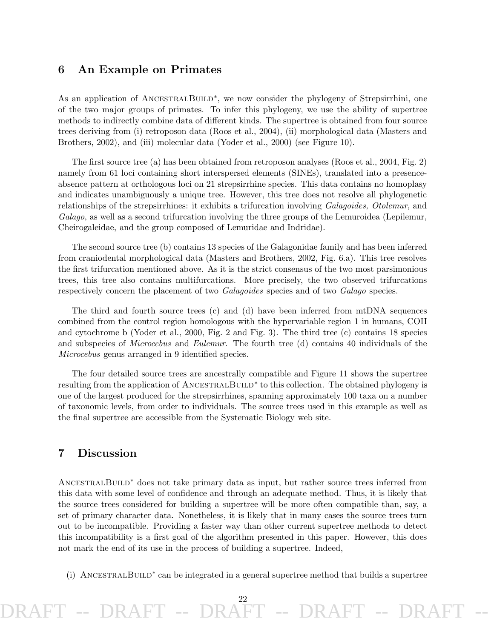### 6 An Example on Primates

As an application of ANCESTRALBUILD<sup>\*</sup>, we now consider the phylogeny of Strepsirrhini, one of the two major groups of primates. To infer this phylogeny, we use the ability of supertree methods to indirectly combine data of different kinds. The supertree is obtained from four source trees deriving from (i) retroposon data (Roos et al., 2004), (ii) morphological data (Masters and Brothers, 2002), and (iii) molecular data (Yoder et al., 2000) (see Figure 10).

The first source tree (a) has been obtained from retroposon analyses (Roos et al., 2004, Fig. 2) namely from 61 loci containing short interspersed elements (SINEs), translated into a presenceabsence pattern at orthologous loci on 21 strepsirrhine species. This data contains no homoplasy and indicates unambiguously a unique tree. However, this tree does not resolve all phylogenetic relationships of the strepsirrhines: it exhibits a trifurcation involving Galagoides, Otolemur, and Galago, as well as a second trifurcation involving the three groups of the Lemuroidea (Lepilemur, Cheirogaleidae, and the group composed of Lemuridae and Indridae).

The second source tree (b) contains 13 species of the Galagonidae family and has been inferred from craniodental morphological data (Masters and Brothers, 2002, Fig. 6.a). This tree resolves the first trifurcation mentioned above. As it is the strict consensus of the two most parsimonious trees, this tree also contains multifurcations. More precisely, the two observed trifurcations respectively concern the placement of two *Galagoides* species and of two *Galago* species.

The third and fourth source trees (c) and (d) have been inferred from mtDNA sequences combined from the control region homologous with the hypervariable region 1 in humans, COII and cytochrome b (Yoder et al., 2000, Fig. 2 and Fig. 3). The third tree (c) contains 18 species and subspecies of *Microcebus* and *Eulemur*. The fourth tree (d) contains 40 individuals of the Microcebus genus arranged in 9 identified species.

The four detailed source trees are ancestrally compatible and Figure 11 shows the supertree resulting from the application of ANCESTRALBUILD<sup>∗</sup> to this collection. The obtained phylogeny is one of the largest produced for the strepsirrhines, spanning approximately 100 taxa on a number of taxonomic levels, from order to individuals. The source trees used in this example as well as the final supertree are accessible from the Systematic Biology web site.

## 7 Discussion

AncestralBuild<sup>∗</sup> does not take primary data as input, but rather source trees inferred from this data with some level of confidence and through an adequate method. Thus, it is likely that the source trees considered for building a supertree will be more often compatible than, say, a set of primary character data. Nonetheless, it is likely that in many cases the source trees turn out to be incompatible. Providing a faster way than other current supertree methods to detect this incompatibility is a first goal of the algorithm presented in this paper. However, this does not mark the end of its use in the process of building a supertree. Indeed,

(i) ANCESTRALBUILD<sup>\*</sup> can be integrated in a general supertree method that builds a supertree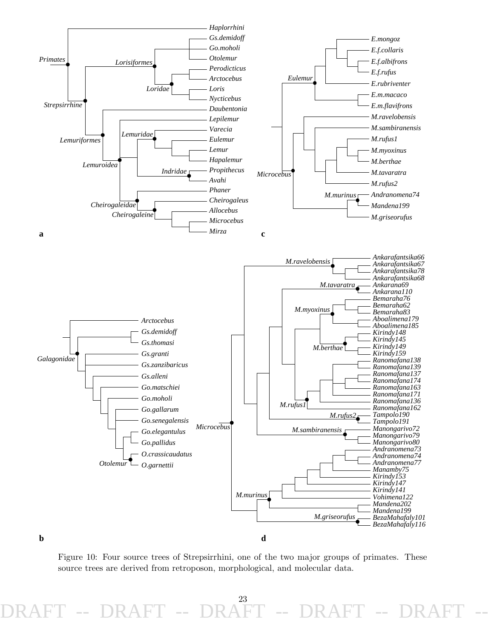

Figure 10: Four source trees of Strepsirrhini, one of the two major groups of primates. These source trees are derived from retroposon, morphological, and molecular data.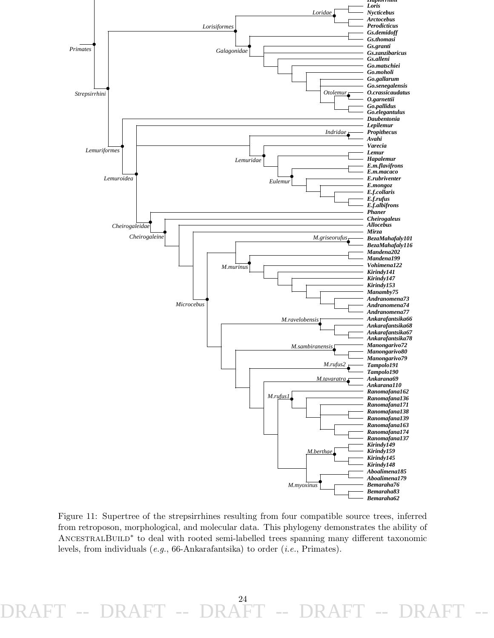

Figure 11: Supertree of the strepsirrhines resulting from four compatible source trees, inferred from retroposon, morphological, and molecular data. This phylogeny demonstrates the ability of ANCESTRALBUILD<sup>∗</sup> to deal with rooted semi-labelled trees spanning many different taxonomic levels, from individuals (e.g., 66-Ankarafantsika) to order (i.e., Primates).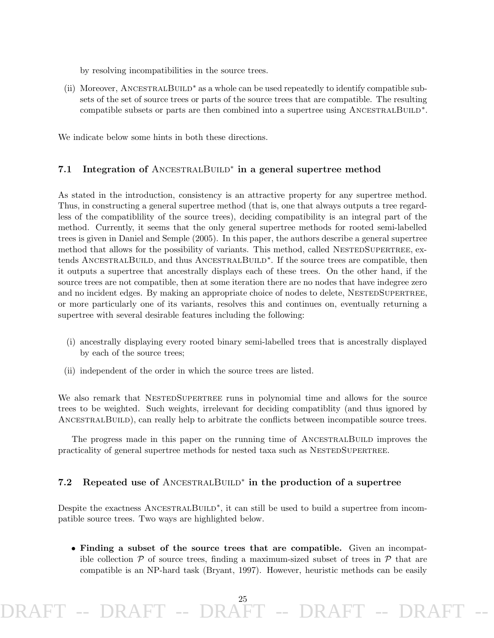by resolving incompatibilities in the source trees.

(ii) Moreover, AncestralBuild<sup>∗</sup> as a whole can be used repeatedly to identify compatible subsets of the set of source trees or parts of the source trees that are compatible. The resulting compatible subsets or parts are then combined into a supertree using ANCESTRALBUILD<sup>\*</sup>.

We indicate below some hints in both these directions.

## 7.1 Integration of ANCESTRALBUILD<sup>\*</sup> in a general supertree method

As stated in the introduction, consistency is an attractive property for any supertree method. Thus, in constructing a general supertree method (that is, one that always outputs a tree regardless of the compatiblility of the source trees), deciding compatibility is an integral part of the method. Currently, it seems that the only general supertree methods for rooted semi-labelled trees is given in Daniel and Semple (2005). In this paper, the authors describe a general supertree method that allows for the possibility of variants. This method, called NESTEDSUPERTREE, extends ANCESTRALBUILD, and thus ANCESTRALBUILD<sup>∗</sup>. If the source trees are compatible, then it outputs a supertree that ancestrally displays each of these trees. On the other hand, if the source trees are not compatible, then at some iteration there are no nodes that have indegree zero and no incident edges. By making an appropriate choice of nodes to delete, NESTEDSUPERTREE, or more particularly one of its variants, resolves this and continues on, eventually returning a supertree with several desirable features including the following:

- (i) ancestrally displaying every rooted binary semi-labelled trees that is ancestrally displayed by each of the source trees;
- (ii) independent of the order in which the source trees are listed.

We also remark that NESTEDSUPERTREE runs in polynomial time and allows for the source trees to be weighted. Such weights, irrelevant for deciding compatiblity (and thus ignored by ANCESTRALBUILD), can really help to arbitrate the conflicts between incompatible source trees.

The progress made in this paper on the running time of ANCESTRALBUILD improves the practicality of general supertree methods for nested taxa such as NESTEDSUPERTREE.

## 7.2 Repeated use of ANCESTRALBUILD<sup>\*</sup> in the production of a supertree

Despite the exactness ANCESTRALBUILD<sup>\*</sup>, it can still be used to build a supertree from incompatible source trees. Two ways are highlighted below.

• Finding a subset of the source trees that are compatible. Given an incompatible collection  $P$  of source trees, finding a maximum-sized subset of trees in  $P$  that are compatible is an NP-hard task (Bryant, 1997). However, heuristic methods can be easily

DRAFT -- DRAFT -- DRAFT -- DRAFT -- DRAFT -- DRAFT -- DRAFT -- DRAFT -- DRAFT -- DRAFT -- DRAFT -- DRAFT -- DRAFT -- DRAFT -- DRAFT -- DRAFT --

25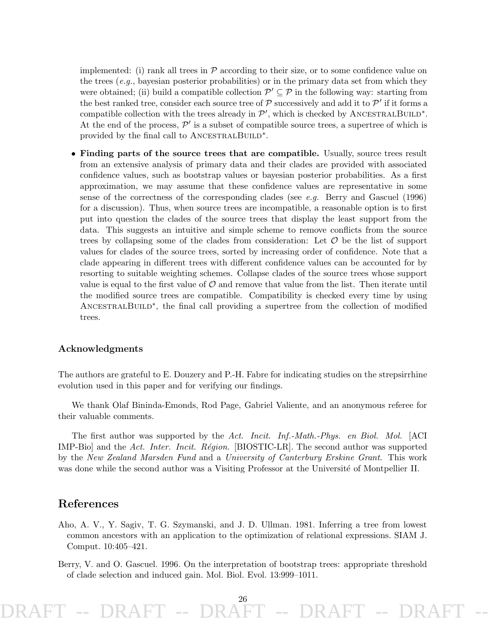implemented: (i) rank all trees in  $P$  according to their size, or to some confidence value on the trees  $(e,q)$ , bayesian posterior probabilities) or in the primary data set from which they were obtained; (ii) build a compatible collection  $\mathcal{P}' \subseteq \mathcal{P}$  in the following way: starting from the best ranked tree, consider each source tree of  $P$  successively and add it to  $P'$  if it forms a compatible collection with the trees already in  $\mathcal{P}'$ , which is checked by ANCESTRALBUILD<sup>\*</sup>. At the end of the process,  $\mathcal{P}'$  is a subset of compatible source trees, a supertree of which is provided by the final call to  $\Lambda$ NCESTRALBUILD<sup>\*</sup>.

• Finding parts of the source trees that are compatible. Usually, source trees result from an extensive analysis of primary data and their clades are provided with associated confidence values, such as bootstrap values or bayesian posterior probabilities. As a first approximation, we may assume that these confidence values are representative in some sense of the correctness of the corresponding clades (see e.g. Berry and Gascuel  $(1996)$ ) for a discussion). Thus, when source trees are incompatible, a reasonable option is to first put into question the clades of the source trees that display the least support from the data. This suggests an intuitive and simple scheme to remove conflicts from the source trees by collapsing some of the clades from consideration: Let  $\mathcal O$  be the list of support values for clades of the source trees, sorted by increasing order of confidence. Note that a clade appearing in different trees with different confidence values can be accounted for by resorting to suitable weighting schemes. Collapse clades of the source trees whose support value is equal to the first value of  $\mathcal O$  and remove that value from the list. Then iterate until the modified source trees are compatible. Compatibility is checked every time by using ANCESTRALBUILD<sup>∗</sup>, the final call providing a supertree from the collection of modified trees.

### Acknowledgments

The authors are grateful to E. Douzery and P.-H. Fabre for indicating studies on the strepsirrhine evolution used in this paper and for verifying our findings.

We thank Olaf Bininda-Emonds, Rod Page, Gabriel Valiente, and an anonymous referee for their valuable comments.

The first author was supported by the Act. Incit. Inf.-Math.-Phys. en Biol. Mol. [ACI IMP-Bio] and the Act. Inter. Incit. Région. [BIOSTIC-LR]. The second author was supported by the New Zealand Marsden Fund and a University of Canterbury Erskine Grant. This work was done while the second author was a Visiting Professor at the Université of Montpellier II.

## References

- Aho, A. V., Y. Sagiv, T. G. Szymanski, and J. D. Ullman. 1981. Inferring a tree from lowest common ancestors with an application to the optimization of relational expressions. SIAM J. Comput. 10:405–421.
- Berry, V. and O. Gascuel. 1996. On the interpretation of bootstrap trees: appropriate threshold of clade selection and induced gain. Mol. Biol. Evol. 13:999–1011.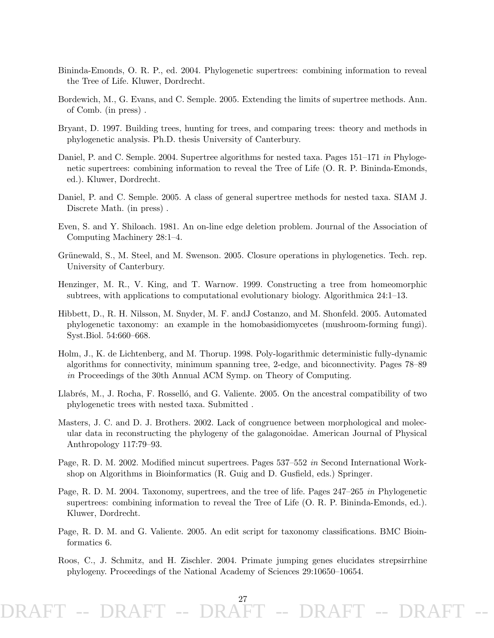- Bininda-Emonds, O. R. P., ed. 2004. Phylogenetic supertrees: combining information to reveal the Tree of Life. Kluwer, Dordrecht.
- Bordewich, M., G. Evans, and C. Semple. 2005. Extending the limits of supertree methods. Ann. of Comb. (in press) .
- Bryant, D. 1997. Building trees, hunting for trees, and comparing trees: theory and methods in phylogenetic analysis. Ph.D. thesis University of Canterbury.
- Daniel, P. and C. Semple. 2004. Supertree algorithms for nested taxa. Pages 151–171 in Phylogenetic supertrees: combining information to reveal the Tree of Life (O. R. P. Bininda-Emonds, ed.). Kluwer, Dordrecht.
- Daniel, P. and C. Semple. 2005. A class of general supertree methods for nested taxa. SIAM J. Discrete Math. (in press) .
- Even, S. and Y. Shiloach. 1981. An on-line edge deletion problem. Journal of the Association of Computing Machinery 28:1–4.
- Grünewald, S., M. Steel, and M. Swenson. 2005. Closure operations in phylogenetics. Tech. rep. University of Canterbury.
- Henzinger, M. R., V. King, and T. Warnow. 1999. Constructing a tree from homeomorphic subtrees, with applications to computational evolutionary biology. Algorithmica 24:1–13.
- Hibbett, D., R. H. Nilsson, M. Snyder, M. F. andJ Costanzo, and M. Shonfeld. 2005. Automated phylogenetic taxonomy: an example in the homobasidiomycetes (mushroom-forming fungi). Syst.Biol. 54:660–668.
- Holm, J., K. de Lichtenberg, and M. Thorup. 1998. Poly-logarithmic deterministic fully-dynamic algorithms for connectivity, minimum spanning tree, 2-edge, and biconnectivity. Pages 78–89 in Proceedings of the 30th Annual ACM Symp. on Theory of Computing.
- Llabrés, M., J. Rocha, F. Rosselló, and G. Valiente. 2005. On the ancestral compatibility of two phylogenetic trees with nested taxa. Submitted .
- Masters, J. C. and D. J. Brothers. 2002. Lack of congruence between morphological and molecular data in reconstructing the phylogeny of the galagonoidae. American Journal of Physical Anthropology 117:79–93.
- Page, R. D. M. 2002. Modified mincut supertrees. Pages 537–552 in Second International Workshop on Algorithms in Bioinformatics (R. Guig and D. Gusfield, eds.) Springer.
- Page, R. D. M. 2004. Taxonomy, supertrees, and the tree of life. Pages 247–265 in Phylogenetic supertrees: combining information to reveal the Tree of Life (O. R. P. Bininda-Emonds, ed.). Kluwer, Dordrecht.
- Page, R. D. M. and G. Valiente. 2005. An edit script for taxonomy classifications. BMC Bioinformatics 6.
- Roos, C., J. Schmitz, and H. Zischler. 2004. Primate jumping genes elucidates strepsirrhine phylogeny. Proceedings of the National Academy of Sciences 29:10650–10654.

27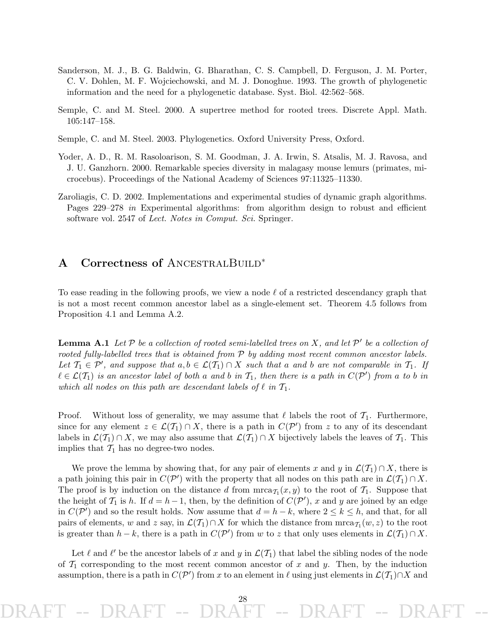- Sanderson, M. J., B. G. Baldwin, G. Bharathan, C. S. Campbell, D. Ferguson, J. M. Porter, C. V. Dohlen, M. F. Wojciechowski, and M. J. Donoghue. 1993. The growth of phylogenetic information and the need for a phylogenetic database. Syst. Biol. 42:562–568.
- Semple, C. and M. Steel. 2000. A supertree method for rooted trees. Discrete Appl. Math. 105:147–158.
- Semple, C. and M. Steel. 2003. Phylogenetics. Oxford University Press, Oxford.
- Yoder, A. D., R. M. Rasoloarison, S. M. Goodman, J. A. Irwin, S. Atsalis, M. J. Ravosa, and J. U. Ganzhorn. 2000. Remarkable species diversity in malagasy mouse lemurs (primates, microcebus). Proceedings of the National Academy of Sciences 97:11325–11330.
- Zaroliagis, C. D. 2002. Implementations and experimental studies of dynamic graph algorithms. Pages 229–278 in Experimental algorithms: from algorithm design to robust and efficient software vol. 2547 of Lect. Notes in Comput. Sci. Springer.

## A Correctness of ANCESTRALBUILD<sup>\*</sup>

To ease reading in the following proofs, we view a node  $\ell$  of a restricted descendancy graph that is not a most recent common ancestor label as a single-element set. Theorem 4.5 follows from Proposition 4.1 and Lemma A.2.

**Lemma A.1** Let  $P$  be a collection of rooted semi-labelled trees on X, and let  $P'$  be a collection of rooted fully-labelled trees that is obtained from  $P$  by adding most recent common ancestor labels. Let  $\mathcal{T}_1 \in \mathcal{P}'$ , and suppose that  $a, b \in \mathcal{L}(\mathcal{T}_1) \cap X$  such that a and b are not comparable in  $\mathcal{T}_1$ . If  $\ell \in \mathcal{L}(\mathcal{T}_1)$  is an ancestor label of both a and b in  $\mathcal{T}_1$ , then there is a path in  $C(\mathcal{P}')$  from a to b in which all nodes on this path are descendant labels of  $\ell$  in  $\mathcal{T}_1$ .

Proof. Without loss of generality, we may assume that  $\ell$  labels the root of  $\mathcal{T}_1$ . Furthermore, since for any element  $z \in \mathcal{L}(\mathcal{T}_1) \cap X$ , there is a path in  $C(\mathcal{P}')$  from z to any of its descendant labels in  $\mathcal{L}(\mathcal{T}_1) \cap X$ , we may also assume that  $\mathcal{L}(\mathcal{T}_1) \cap X$  bijectively labels the leaves of  $\mathcal{T}_1$ . This implies that  $\mathcal{T}_1$  has no degree-two nodes.

We prove the lemma by showing that, for any pair of elements x and y in  $\mathcal{L}(\mathcal{T}_1) \cap X$ , there is a path joining this pair in  $C(\mathcal{P}')$  with the property that all nodes on this path are in  $\mathcal{L}(\mathcal{T}_1) \cap X$ . The proof is by induction on the distance d from  $m \text{rca}_{\mathcal{I}_1}(x, y)$  to the root of  $\mathcal{I}_1$ . Suppose that the height of  $\mathcal{T}_1$  is h. If  $d = h - 1$ , then, by the definition of  $C(\mathcal{P}')$ , x and y are joined by an edge in  $C(\mathcal{P}')$  and so the result holds. Now assume that  $d = h - k$ , where  $2 \leq k \leq h$ , and that, for all pairs of elements, w and z say, in  $\mathcal{L}(\mathcal{T}_1) \cap X$  for which the distance from  $\arctan \mathcal{T}_1(w, z)$  to the root is greater than  $h - k$ , there is a path in  $C(\mathcal{P}')$  from w to z that only uses elements in  $\mathcal{L}(\mathcal{T}_1) \cap X$ .

Let  $\ell$  and  $\ell'$  be the ancestor labels of x and y in  $\mathcal{L}(\mathcal{T}_1)$  that label the sibling nodes of the node of  $\mathcal{T}_1$  corresponding to the most recent common ancestor of x and y. Then, by the induction assumption, there is a path in  $C(\mathcal{P}')$  from x to an element in  $\ell$  using just elements in  $\mathcal{L}(\mathcal{T}_1) \cap X$  and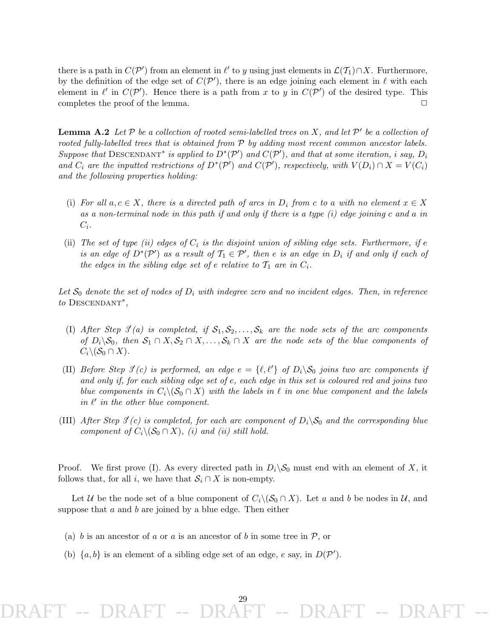there is a path in  $C(\mathcal{P}')$  from an element in  $\ell'$  to y using just elements in  $\mathcal{L}(\mathcal{T}_1) \cap X$ . Furthermore, by the definition of the edge set of  $C(\mathcal{P}')$ , there is an edge joining each element in  $\ell$  with each element in  $\ell'$  in  $C(\mathcal{P}')$ . Hence there is a path from x to y in  $C(\mathcal{P}')$  of the desired type. This completes the proof of the lemma.  $\Box$ 

**Lemma A.2** Let  $P$  be a collection of rooted semi-labelled trees on X, and let  $P'$  be a collection of rooted fully-labelled trees that is obtained from P by adding most recent common ancestor labels. Suppose that DESCENDANT<sup>\*</sup> is applied to  $D^*(\mathcal{P}')$  and  $C(\mathcal{P}')$ , and that at some iteration, i say,  $D_i$ and  $C_i$  are the inputted restrictions of  $D^*(\mathcal{P}')$  and  $C(\mathcal{P}')$ , respectively, with  $V(D_i) \cap X = V(C_i)$ and the following properties holding:

- (i) For all  $a, c \in X$ , there is a directed path of arcs in  $D_i$  from c to a with no element  $x \in X$ as a non-terminal node in this path if and only if there is a type  $(i)$  edge joining c and a in  $C_i$ .
- (ii) The set of type (ii) edges of  $C_i$  is the disjoint union of sibling edge sets. Furthermore, if  $e$ is an edge of  $D^*(\mathcal{P}')$  as a result of  $\mathcal{T}_1 \in \mathcal{P}'$ , then e is an edge in  $D_i$  if and only if each of the edges in the sibling edge set of e relative to  $\mathcal{T}_1$  are in  $C_i$ .

Let  $S_0$  denote the set of nodes of  $D_i$  with indegree zero and no incident edges. Then, in reference  $to$  DESCENDANT<sup>\*</sup>,

- (I) After Step  $\mathcal{S}(a)$  is completed, if  $\mathcal{S}_1, \mathcal{S}_2, \ldots, \mathcal{S}_k$  are the node sets of the arc components of  $D_i\setminus S_0$ , then  $S_1 \cap X, S_2 \cap X, \ldots, S_k \cap X$  are the node sets of the blue components of  $C_i \backslash (\mathcal{S}_0 \cap X)$ .
- (II) Before Step  $3'(c)$  is performed, an edge  $e = \{\ell, \ell'\}$  of  $D_i \backslash S_0$  joins two arc components if and only if, for each sibling edge set of e, each edge in this set is coloured red and joins two blue components in  $C_i \backslash (S_0 \cap X)$  with the labels in  $\ell$  in one blue component and the labels in  $\ell'$  in the other blue component.
- (III) After Step  $\mathcal{S}(c)$  is completed, for each arc component of  $D_i \backslash \mathcal{S}_0$  and the corresponding blue component of  $C_i \setminus (S_0 \cap X)$ , (i) and (ii) still hold.

Proof. We first prove (I). As every directed path in  $D_i\setminus\mathcal{S}_0$  must end with an element of X, it follows that, for all i, we have that  $S_i \cap X$  is non-empty.

Let U be the node set of a blue component of  $C_i\setminus (S_0 \cap X)$ . Let a and b be nodes in U, and suppose that  $a$  and  $b$  are joined by a blue edge. Then either

29

- (a) b is an ancestor of a or a is an ancestor of b in some tree in  $P$ , or
- (b)  $\{a, b\}$  is an element of a sibling edge set of an edge, e say, in  $D(\mathcal{P}')$ .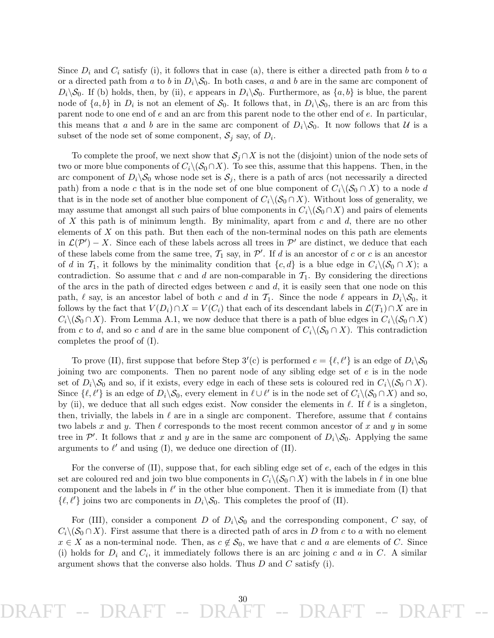Since  $D_i$  and  $C_i$  satisfy (i), it follows that in case (a), there is either a directed path from b to a or a directed path from a to b in  $D_i\setminus\mathcal{S}_0$ . In both cases, a and b are in the same arc component of  $D_i\setminus\mathcal{S}_0$ . If (b) holds, then, by (ii), e appears in  $D_i\setminus\mathcal{S}_0$ . Furthermore, as  $\{a, b\}$  is blue, the parent node of  $\{a, b\}$  in  $D_i$  is not an element of  $S_0$ . It follows that, in  $D_i \backslash S_0$ , there is an arc from this parent node to one end of  $e$  and an arc from this parent node to the other end of  $e$ . In particular, this means that a and b are in the same arc component of  $D_i\setminus\mathcal{S}_0$ . It now follows that U is a subset of the node set of some component,  $S_j$  say, of  $D_i$ .

To complete the proof, we next show that  $S_i \cap X$  is not the (disjoint) union of the node sets of two or more blue components of  $C_i\setminus (S_0\cap X)$ . To see this, assume that this happens. Then, in the arc component of  $D_i \backslash S_0$  whose node set is  $S_i$ , there is a path of arcs (not necessarily a directed path) from a node c that is in the node set of one blue component of  $C_i\setminus(\mathcal{S}_0 \cap X)$  to a node d that is in the node set of another blue component of  $C_i\setminus (S_0 \cap X)$ . Without loss of generality, we may assume that amongst all such pairs of blue components in  $C_i\setminus (S_0 \cap X)$  and pairs of elements of X this path is of minimum length. By minimality, apart from  $c$  and  $d$ , there are no other elements of  $X$  on this path. But then each of the non-terminal nodes on this path are elements in  $\mathcal{L}(\mathcal{P}') - X$ . Since each of these labels across all trees in  $\mathcal{P}'$  are distinct, we deduce that each of these labels come from the same tree,  $\mathcal{T}_1$  say, in  $\mathcal{P}'$ . If d is an ancestor of c or c is an ancestor of d in  $\mathcal{T}_1$ , it follows by the minimality condition that  $\{c, d\}$  is a blue edge in  $C_i\setminus(\mathcal{S}_0 \cap X)$ ; a contradiction. So assume that c and d are non-comparable in  $\mathcal{T}_1$ . By considering the directions of the arcs in the path of directed edges between c and  $d$ , it is easily seen that one node on this path,  $\ell$  say, is an ancestor label of both c and d in  $\mathcal{T}_1$ . Since the node  $\ell$  appears in  $D_i\setminus\mathcal{S}_0$ , it follows by the fact that  $V(D_i) \cap X = V(C_i)$  that each of its descendant labels in  $\mathcal{L}(T_1) \cap X$  are in  $C_i\backslash(\mathcal{S}_0 \cap X)$ . From Lemma A.1, we now deduce that there is a path of blue edges in  $C_i\backslash(\mathcal{S}_0 \cap X)$ from c to d, and so c and d are in the same blue component of  $C_i\setminus(\mathcal{S}_0 \cap X)$ . This contradiction completes the proof of (I).

To prove (II), first suppose that before Step 3'(c) is performed  $e = \{ \ell, \ell' \}$  is an edge of  $D_i \backslash \mathcal{S}_0$ joining two arc components. Then no parent node of any sibling edge set of  $e$  is in the node set of  $D_i\setminus\mathcal{S}_0$  and so, if it exists, every edge in each of these sets is coloured red in  $C_i\setminus(\mathcal{S}_0 \cap X)$ . Since  $\{\ell, \ell'\}$  is an edge of  $D_i \backslash \mathcal{S}_0$ , every element in  $\ell \cup \ell'$  is in the node set of  $C_i \backslash (\mathcal{S}_0 \cap X)$  and so, by (ii), we deduce that all such edges exist. Now consider the elements in  $\ell$ . If  $\ell$  is a singleton, then, trivially, the labels in  $\ell$  are in a single arc component. Therefore, assume that  $\ell$  contains two labels x and y. Then  $\ell$  corresponds to the most recent common ancestor of x and y in some tree in  $\mathcal{P}'$ . It follows that x and y are in the same arc component of  $D_i \backslash \mathcal{S}_0$ . Applying the same arguments to  $\ell'$  and using (I), we deduce one direction of (II).

For the converse of  $(II)$ , suppose that, for each sibling edge set of e, each of the edges in this set are coloured red and join two blue components in  $C_i\setminus (S_0 \cap X)$  with the labels in  $\ell$  in one blue component and the labels in  $\ell'$  in the other blue component. Then it is immediate from (I) that  $\{\ell, \ell'\}$  joins two arc components in  $D_i \backslash \mathcal{S}_0$ . This completes the proof of (II).

For (III), consider a component D of  $D_i\setminus S_0$  and the corresponding component, C say, of  $C_i\setminus(\mathcal{S}_0\cap X)$ . First assume that there is a directed path of arcs in D from c to a with no element  $x \in X$  as a non-terminal node. Then, as  $c \notin \mathcal{S}_0$ , we have that c and a are elements of C. Since (i) holds for  $D_i$  and  $C_i$ , it immediately follows there is an arc joining c and a in C. A similar argument shows that the converse also holds. Thus  $D$  and  $C$  satisfy (i).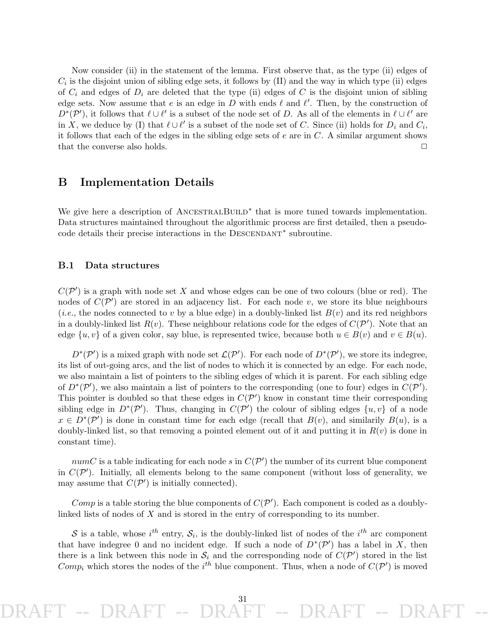Now consider (ii) in the statement of the lemma. First observe that, as the type (ii) edges of  $C_i$  is the disjoint union of sibling edge sets, it follows by  $(II)$  and the way in which type (ii) edges of  $C_i$  and edges of  $D_i$  are deleted that the type (ii) edges of C is the disjoint union of sibling edge sets. Now assume that e is an edge in D with ends  $\ell$  and  $\ell'$ . Then, by the construction of  $D^*(\mathcal{P}')$ , it follows that  $\ell \cup \ell'$  is a subset of the node set of D. As all of the elements in  $\ell \cup \ell'$  are in X, we deduce by (I) that  $\ell \cup \ell'$  is a subset of the node set of C. Since (ii) holds for  $D_i$  and  $C_i$ , it follows that each of the edges in the sibling edge sets of  $e$  are in  $C$ . A similar argument shows that the converse also holds.  $\Box$ 

## B Implementation Details

We give here a description of ANCESTRALBUILD<sup>\*</sup> that is more tuned towards implementation. Data structures maintained throughout the algorithmic process are first detailed, then a pseudocode details their precise interactions in the DESCENDANT<sup>\*</sup> subroutine.

### B.1 Data structures

 $C(\mathcal{P}')$  is a graph with node set X and whose edges can be one of two colours (blue or red). The nodes of  $C(\mathcal{P}')$  are stored in an adjacency list. For each node v, we store its blue neighbours (*i.e.*, the nodes connected to v by a blue edge) in a doubly-linked list  $B(v)$  and its red neighbors in a doubly-linked list  $R(v)$ . These neighbour relations code for the edges of  $C(\mathcal{P}')$ . Note that an edge  $\{u, v\}$  of a given color, say blue, is represented twice, because both  $u \in B(v)$  and  $v \in B(u)$ .

 $D^*(\mathcal{P}')$  is a mixed graph with node set  $\mathcal{L}(\mathcal{P}')$ . For each node of  $D^*(\mathcal{P}')$ , we store its indegree, its list of out-going arcs, and the list of nodes to which it is connected by an edge. For each node, we also maintain a list of pointers to the sibling edges of which it is parent. For each sibling edge of  $D^*(\mathcal{P}')$ , we also maintain a list of pointers to the corresponding (one to four) edges in  $C(\mathcal{P}')$ . This pointer is doubled so that these edges in  $C(\mathcal{P}')$  know in constant time their corresponding sibling edge in  $D^*(\mathcal{P}')$ . Thus, changing in  $C(\mathcal{P}')$  the colour of sibling edges  $\{u, v\}$  of a node  $x \in D^*(\mathcal{P}')$  is done in constant time for each edge (recall that  $B(v)$ , and similarily  $B(u)$ , is a doubly-linked list, so that removing a pointed element out of it and putting it in  $R(v)$  is done in constant time).

 $numC$  is a table indicating for each node s in  $C(\mathcal{P}')$  the number of its current blue component in  $C(\mathcal{P}')$ . Initially, all elements belong to the same component (without loss of generality, we may assume that  $C(\mathcal{P}')$  is initially connected).

Comp is a table storing the blue components of  $C(\mathcal{P}')$ . Each component is coded as a doublylinked lists of nodes of X and is stored in the entry of corresponding to its number.

S is a table, whose  $i^{th}$  entry,  $S_i$ , is the doubly-linked list of nodes of the  $i^{th}$  arc component that have indegree 0 and no incident edge. If such a node of  $D^*(\mathcal{P}')$  has a label in X, then there is a link between this node in  $\mathcal{S}_i$  and the corresponding node of  $C(\mathcal{P}')$  stored in the list Comp<sub>i</sub> which stores the nodes of the i<sup>th</sup> blue component. Thus, when a node of  $C(\mathcal{P}')$  is moved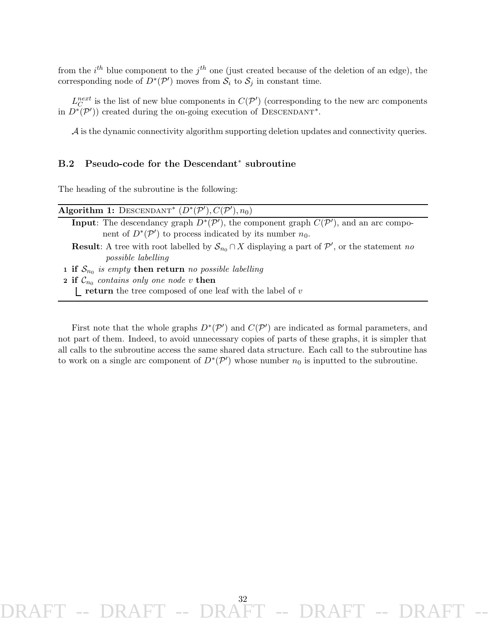from the  $i^{th}$  blue component to the  $j^{th}$  one (just created because of the deletion of an edge), the corresponding node of  $D^*(\mathcal{P}')$  moves from  $\mathcal{S}_i$  to  $\mathcal{S}_j$  in constant time.

 $L_C^{next}$  is the list of new blue components in  $C(\mathcal{P}')$  (corresponding to the new arc components in  $D^{\check{*}}(\mathcal{P}')$  created during the on-going execution of DESCENDANT<sup>\*</sup>.

A is the dynamic connectivity algorithm supporting deletion updates and connectivity queries.

## B.2 Pseudo-code for the Descendant<sup>\*</sup> subroutine

The heading of the subroutine is the following:

| Algorithm 1: DESCENDANT <sup>*</sup> $(D^*(\mathcal{P}'), C(\mathcal{P}'), n_0)$                                       |
|------------------------------------------------------------------------------------------------------------------------|
| <b>Input:</b> The descendancy graph $D^*(\mathcal{P}')$ , the component graph $C(\mathcal{P}')$ , and an arc compo-    |
| nent of $D^*(\mathcal{P}')$ to process indicated by its number $n_0$ .                                                 |
| <b>Result:</b> A tree with root labelled by $S_{n_0} \cap X$ displaying a part of $\mathcal{P}'$ , or the statement no |
| <i>possible labelling</i>                                                                                              |
| <b>1 if</b> $S_{n_0}$ is empty then return no possible labelling                                                       |
| <b>2</b> if $C_{n_0}$ contains only one node v then                                                                    |
| <b>return</b> the tree composed of one leaf with the label of $v$                                                      |

First note that the whole graphs  $D^*(\mathcal{P}')$  and  $C(\mathcal{P}')$  are indicated as formal parameters, and not part of them. Indeed, to avoid unnecessary copies of parts of these graphs, it is simpler that all calls to the subroutine access the same shared data structure. Each call to the subroutine has to work on a single arc component of  $D^*(\mathcal{P}')$  whose number  $n_0$  is inputted to the subroutine.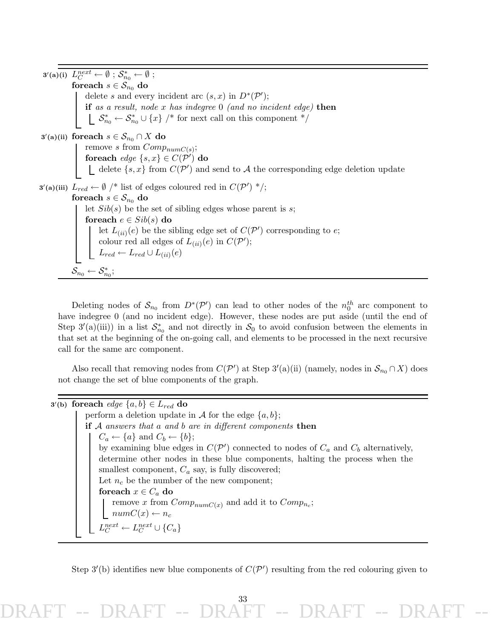$\mathbf{3}'(\mathbf{a})$ (i)  $\;L_{C}^{next}\leftarrow\emptyset\;;\;\mathcal{S}_{n_{0}}^{*}\leftarrow\emptyset\;;\;$ foreach  $s \in \mathcal{S}_{n_0}$  do delete s and every incident arc  $(s, x)$  in  $D^*(\mathcal{P}')$ ; if as a result, node  $x$  has indegree  $0$  (and no incident edge) then  $\mathcal{S}_{n_0}^* \leftarrow \mathcal{S}_{n_0}^* \cup \{x\}$  /\* for next call on this component \*/  $3'$ (a)(ii) foreach  $s \in \mathcal{S}_{n_0} \cap X$  do remove s from  $Comp_{numC(s)}$ ; foreach  $edge \{s, x\} \in C(\overline{\mathcal{P}'})$  do delete  $\{s, x\}$  from  $C(\mathcal{P}')$  and send to A the corresponding edge deletion update  $3'(\mathbf{a})$ (iii)  $L_{red} \leftarrow \emptyset$  /\* list of edges coloured red in  $C(\mathcal{P}')$  \*/; foreach  $s \in \mathcal{S}_{n_0}$  do let  $Sib(s)$  be the set of sibling edges whose parent is s; foreach  $e \in Sib(s)$  do let  $L_{(ii)}(e)$  be the sibling edge set of  $C(\mathcal{P}')$  corresponding to e; colour red all edges of  $L_{(ii)}(e)$  in  $C(\mathcal{P}')$ ;  $L_{red} \leftarrow L_{red} \cup L_{(ii)}(e)$  $\mathcal{S}_{n_0} \leftarrow \mathcal{S}^*_{n_0};$ 

Deleting nodes of  $\mathcal{S}_{n_0}$  from  $D^*(\mathcal{P}')$  can lead to other nodes of the  $n_0^{th}$  arc component to have indegree 0 (and no incident edge). However, these nodes are put aside (until the end of Step 3'(a)(iii)) in a list  $S_{n_0}^*$  and not directly in  $S_0$  to avoid confusion between the elements in that set at the beginning of the on-going call, and elements to be processed in the next recursive call for the same arc component.

Also recall that removing nodes from  $C(\mathcal{P}')$  at Step 3'(a)(ii) (namely, nodes in  $\mathcal{S}_{n_0} \cap X$ ) does not change the set of blue components of the graph.

3'(b) foreach  $edge \{a, b\} \in L_{red}$  do perform a deletion update in A for the edge  $\{a, b\}$ ; if  $A$  answers that a and b are in different components then  $C_a \leftarrow \{a\}$  and  $C_b \leftarrow \{b\};$ by examining blue edges in  $C(\mathcal{P}')$  connected to nodes of  $C_a$  and  $C_b$  alternatively, determine other nodes in these blue components, halting the process when the smallest component,  $C_a$  say, is fully discovered; Let  $n_c$  be the number of the new component; foreach  $x \in C_a$  do remove x from  $Comp_{numC(x)}$  and add it to  $Comp_{nc}$ ;  $numC(x) \leftarrow n_c$  $L_C^{next} \leftarrow L_C^{next} \cup \{C_a\}$ 

Step  $3'(b)$  identifies new blue components of  $C(\mathcal{P}')$  resulting from the red colouring given to

33